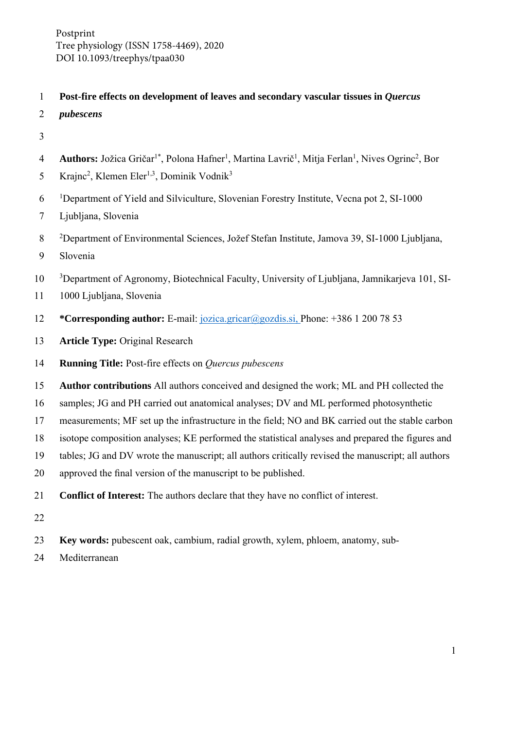Postprint Tree physiology (ISSN 1758-4469), 2020 DOI 10.1093/treephys/tpaa030

# 1 **Post-fire effects on development of leaves and secondary vascular tissues in** *Quercus*

- 2 *pubescens*
- 3
- 4 **Authors:** Jožica Gričar<sup>1\*</sup>, Polona Hafner<sup>1</sup>, Martina Lavrič<sup>1</sup>, Mitja Ferlan<sup>1</sup>, Nives Ogrinc<sup>2</sup>, Bor
- 5 Krajnc<sup>2</sup>, Klemen Eler<sup>1,3</sup>, Dominik Vodnik<sup>3</sup>
- $10^{-1}$ Department of Yield and Silviculture, Slovenian Forestry Institute, Vecna pot 2, SI-1000
- 7 Ljubljana, Slovenia
- <sup>2</sup> 8 Department of Environmental Sciences, Jožef Stefan Institute, Jamova 39, SI-1000 Ljubljana,
- 9 Slovenia
- <sup>3</sup> Department of Agronomy, Biotechnical Faculty, University of Ljubljana, Jamnikarjeva 101, SI-
- 11 1000 Ljubljana, Slovenia
- 12 **\*Corresponding author:** E-mail: jozica.gricar@gozdis.si, Phone: +386 1 200 78 53
- 13 **Article Type:** Original Research
- 14 **Running Title:** Post-fire effects on *Quercus pubescens*
- 15 **Author contributions** All authors conceived and designed the work; ML and PH collected the
- 16 samples; JG and PH carried out anatomical analyses; DV and ML performed photosynthetic
- 17 measurements; MF set up the infrastructure in the field; NO and BK carried out the stable carbon
- 18 isotope composition analyses; KE performed the statistical analyses and prepared the figures and
- 19 tables; JG and DV wrote the manuscript; all authors critically revised the manuscript; all authors
- 20 approved the final version of the manuscript to be published.
- 21 **Conflict of Interest:** The authors declare that they have no conflict of interest.
- 22
- 23 **Key words:** pubescent oak, cambium, radial growth, xylem, phloem, anatomy, sub-
- 24 Mediterranean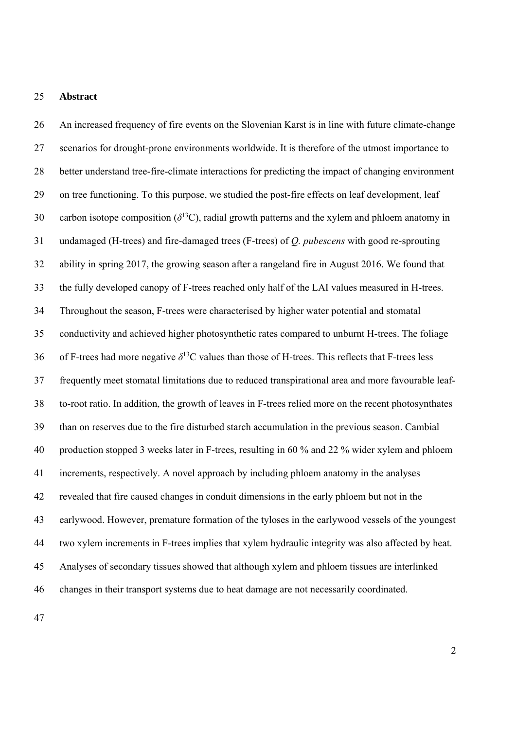### 25 **Abstract**

26 An increased frequency of fire events on the Slovenian Karst is in line with future climate-change 27 scenarios for drought-prone environments worldwide. It is therefore of the utmost importance to 28 better understand tree-fire-climate interactions for predicting the impact of changing environment 29 on tree functioning. To this purpose, we studied the post-fire effects on leaf development, leaf 30 carbon isotope composition  $(\delta^{13}C)$ , radial growth patterns and the xylem and phloem anatomy in 31 undamaged (H-trees) and fire-damaged trees (F-trees) of *Q. pubescens* with good re-sprouting 32 ability in spring 2017, the growing season after a rangeland fire in August 2016. We found that 33 the fully developed canopy of F-trees reached only half of the LAI values measured in H-trees. 34 Throughout the season, F-trees were characterised by higher water potential and stomatal 35 conductivity and achieved higher photosynthetic rates compared to unburnt H-trees. The foliage 36 of F-trees had more negative  $\delta^{13}$ C values than those of H-trees. This reflects that F-trees less 37 frequently meet stomatal limitations due to reduced transpirational area and more favourable leaf-38 to-root ratio. In addition, the growth of leaves in F-trees relied more on the recent photosynthates 39 than on reserves due to the fire disturbed starch accumulation in the previous season. Cambial 40 production stopped 3 weeks later in F-trees, resulting in 60 % and 22 % wider xylem and phloem 41 increments, respectively. A novel approach by including phloem anatomy in the analyses 42 revealed that fire caused changes in conduit dimensions in the early phloem but not in the 43 earlywood. However, premature formation of the tyloses in the earlywood vessels of the youngest 44 two xylem increments in F-trees implies that xylem hydraulic integrity was also affected by heat. 45 Analyses of secondary tissues showed that although xylem and phloem tissues are interlinked 46 changes in their transport systems due to heat damage are not necessarily coordinated.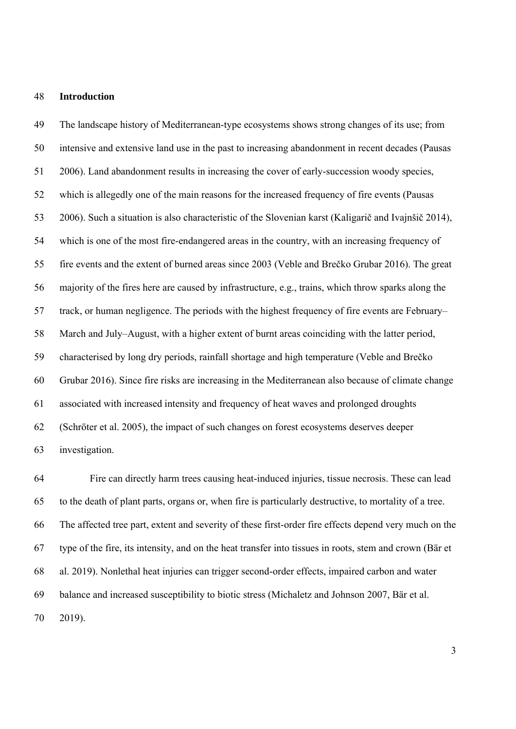#### 48 **Introduction**

49 The landscape history of Mediterranean-type ecosystems shows strong changes of its use; from 50 intensive and extensive land use in the past to increasing abandonment in recent decades (Pausas 51 2006). Land abandonment results in increasing the cover of early-succession woody species, 52 which is allegedly one of the main reasons for the increased frequency of fire events (Pausas 53 2006). Such a situation is also characteristic of the Slovenian karst (Kaligarič and Ivajnšič 2014), 54 which is one of the most fire-endangered areas in the country, with an increasing frequency of 55 fire events and the extent of burned areas since 2003 (Veble and Brečko Grubar 2016). The great 56 majority of the fires here are caused by infrastructure, e.g., trains, which throw sparks along the 57 track, or human negligence. The periods with the highest frequency of fire events are February– 58 March and July–August, with a higher extent of burnt areas coinciding with the latter period, 59 characterised by long dry periods, rainfall shortage and high temperature (Veble and Brečko 60 Grubar 2016). Since fire risks are increasing in the Mediterranean also because of climate change 61 associated with increased intensity and frequency of heat waves and prolonged droughts 62 (Schröter et al. 2005), the impact of such changes on forest ecosystems deserves deeper 63 investigation.

64 Fire can directly harm trees causing heat-induced injuries, tissue necrosis. These can lead 65 to the death of plant parts, organs or, when fire is particularly destructive, to mortality of a tree. 66 The affected tree part, extent and severity of these first-order fire effects depend very much on the 67 type of the fire, its intensity, and on the heat transfer into tissues in roots, stem and crown (Bär et 68 al. 2019). Nonlethal heat injuries can trigger second-order effects, impaired carbon and water 69 balance and increased susceptibility to biotic stress (Michaletz and Johnson 2007, Bär et al. 70 2019).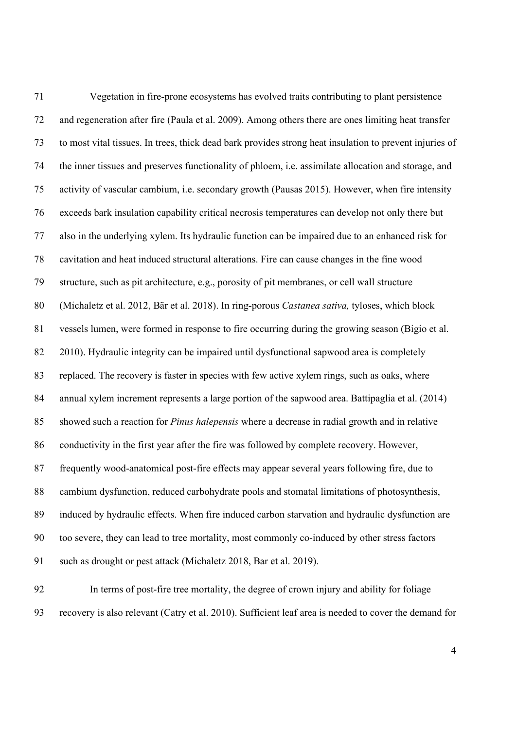71 Vegetation in fire-prone ecosystems has evolved traits contributing to plant persistence 72 and regeneration after fire (Paula et al. 2009). Among others there are ones limiting heat transfer 73 to most vital tissues. In trees, thick dead bark provides strong heat insulation to prevent injuries of 74 the inner tissues and preserves functionality of phloem, i.e. assimilate allocation and storage, and 75 activity of vascular cambium, i.e. secondary growth (Pausas 2015). However, when fire intensity 76 exceeds bark insulation capability critical necrosis temperatures can develop not only there but 77 also in the underlying xylem. Its hydraulic function can be impaired due to an enhanced risk for 78 cavitation and heat induced structural alterations. Fire can cause changes in the fine wood 79 structure, such as pit architecture, e.g., porosity of pit membranes, or cell wall structure 80 (Michaletz et al. 2012, Bär et al. 2018). In ring-porous *Castanea sativa,* tyloses, which block 81 vessels lumen, were formed in response to fire occurring during the growing season (Bigio et al. 82 2010). Hydraulic integrity can be impaired until dysfunctional sapwood area is completely 83 replaced. The recovery is faster in species with few active xylem rings, such as oaks, where 84 annual xylem increment represents a large portion of the sapwood area. Battipaglia et al. (2014) 85 showed such a reaction for *Pinus halepensis* where a decrease in radial growth and in relative 86 conductivity in the first year after the fire was followed by complete recovery. However, 87 frequently wood-anatomical post-fire effects may appear several years following fire, due to 88 cambium dysfunction, reduced carbohydrate pools and stomatal limitations of photosynthesis, 89 induced by hydraulic effects. When fire induced carbon starvation and hydraulic dysfunction are 90 too severe, they can lead to tree mortality, most commonly co-induced by other stress factors 91 such as drought or pest attack (Michaletz 2018, Bar et al. 2019).

92 In terms of post-fire tree mortality, the degree of crown injury and ability for foliage 93 recovery is also relevant (Catry et al. 2010). Sufficient leaf area is needed to cover the demand for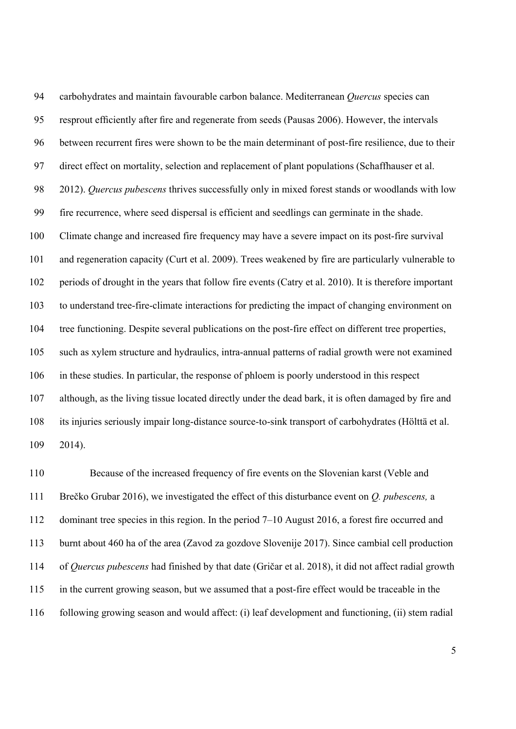94 carbohydrates and maintain favourable carbon balance. Mediterranean *Quercus* species can 95 resprout efficiently after fire and regenerate from seeds (Pausas 2006). However, the intervals 96 between recurrent fires were shown to be the main determinant of post-fire resilience, due to their 97 direct effect on mortality, selection and replacement of plant populations (Schaffhauser et al. 98 2012). *Quercus pubescens* thrives successfully only in mixed forest stands or woodlands with low 99 fire recurrence, where seed dispersal is efficient and seedlings can germinate in the shade. 100 Climate change and increased fire frequency may have a severe impact on its post-fire survival 101 and regeneration capacity (Curt et al. 2009). Trees weakened by fire are particularly vulnerable to 102 periods of drought in the years that follow fire events (Catry et al. 2010). It is therefore important 103 to understand tree-fire-climate interactions for predicting the impact of changing environment on 104 tree functioning. Despite several publications on the post-fire effect on different tree properties, 105 such as xylem structure and hydraulics, intra-annual patterns of radial growth were not examined 106 in these studies. In particular, the response of phloem is poorly understood in this respect 107 although, as the living tissue located directly under the dead bark, it is often damaged by fire and 108 its injuries seriously impair long-distance source-to-sink transport of carbohydrates (Hölttä et al. 109 2014).

110 Because of the increased frequency of fire events on the Slovenian karst (Veble and 111 Brečko Grubar 2016), we investigated the effect of this disturbance event on *Q. pubescens,* a 112 dominant tree species in this region. In the period 7–10 August 2016, a forest fire occurred and 113 burnt about 460 ha of the area (Zavod za gozdove Slovenije 2017). Since cambial cell production 114 of *Quercus pubescens* had finished by that date (Gričar et al. 2018), it did not affect radial growth 115 in the current growing season, but we assumed that a post-fire effect would be traceable in the 116 following growing season and would affect: (i) leaf development and functioning, (ii) stem radial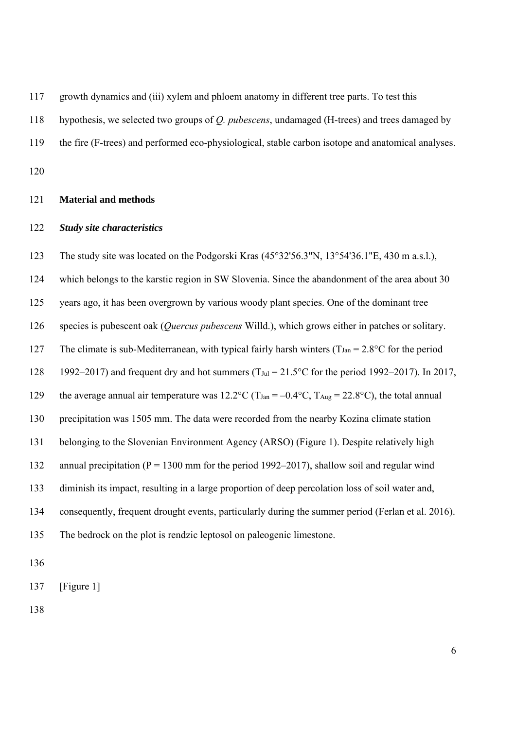117 growth dynamics and (iii) xylem and phloem anatomy in different tree parts. To test this

118 hypothesis, we selected two groups of *Q. pubescens*, undamaged (H-trees) and trees damaged by

119 the fire (F-trees) and performed eco-physiological, stable carbon isotope and anatomical analyses.

120

### 121 **Material and methods**

### 122 *Study site characteristics*

123 The study site was located on the Podgorski Kras (45°32'56.3"N, 13°54'36.1"E, 430 m a.s.l.), 124 which belongs to the karstic region in SW Slovenia. Since the abandonment of the area about 30 125 years ago, it has been overgrown by various woody plant species. One of the dominant tree 126 species is pubescent oak (*Quercus pubescens* Willd.), which grows either in patches or solitary. 127 The climate is sub-Mediterranean, with typical fairly harsh winters ( $T_{Jan} = 2.8$ °C for the period 128 1992–2017) and frequent dry and hot summers (T<sub>Jul</sub> =  $21.5^{\circ}$ C for the period 1992–2017). In 2017, 129 the average annual air temperature was  $12.2^{\circ}$ C (T<sub>Jan</sub> =  $-0.4^{\circ}$ C, T<sub>Aug</sub> = 22.8°C), the total annual 130 precipitation was 1505 mm. The data were recorded from the nearby Kozina climate station 131 belonging to the Slovenian Environment Agency (ARSO) (Figure 1). Despite relatively high 132 annual precipitation (P = 1300 mm for the period 1992–2017), shallow soil and regular wind 133 diminish its impact, resulting in a large proportion of deep percolation loss of soil water and, 134 consequently, frequent drought events, particularly during the summer period (Ferlan et al. 2016). 135 The bedrock on the plot is rendzic leptosol on paleogenic limestone.

136

137 [Figure 1]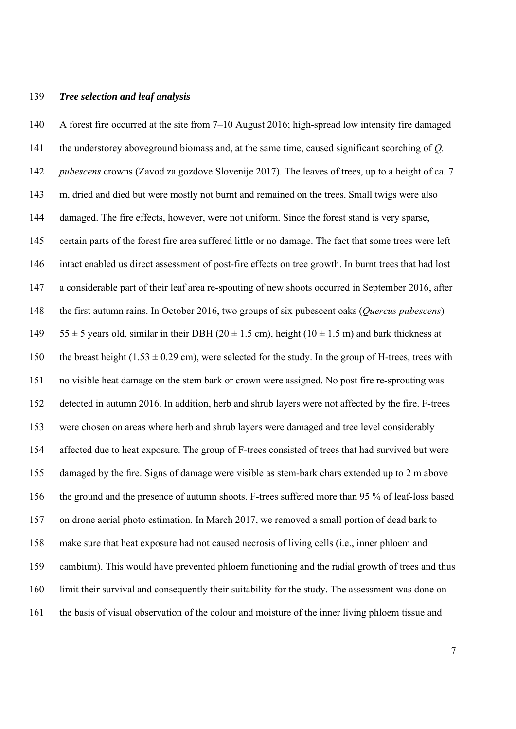#### 139 *Tree selection and leaf analysis*

140 A forest fire occurred at the site from 7–10 August 2016; high-spread low intensity fire damaged 141 the understorey aboveground biomass and, at the same time, caused significant scorching of *Q.*  142 *pubescens* crowns (Zavod za gozdove Slovenije 2017). The leaves of trees, up to a height of ca. 7 143 m, dried and died but were mostly not burnt and remained on the trees. Small twigs were also 144 damaged. The fire effects, however, were not uniform. Since the forest stand is very sparse, 145 certain parts of the forest fire area suffered little or no damage. The fact that some trees were left 146 intact enabled us direct assessment of post-fire effects on tree growth. In burnt trees that had lost 147 a considerable part of their leaf area re-spouting of new shoots occurred in September 2016, after 148 the first autumn rains. In October 2016, two groups of six pubescent oaks (*Quercus pubescens*) 149  $55 \pm 5$  years old, similar in their DBH (20  $\pm$  1.5 cm), height (10  $\pm$  1.5 m) and bark thickness at 150 the breast height (1.53  $\pm$  0.29 cm), were selected for the study. In the group of H-trees, trees with 151 no visible heat damage on the stem bark or crown were assigned. No post fire re-sprouting was 152 detected in autumn 2016. In addition, herb and shrub layers were not affected by the fire. F-trees 153 were chosen on areas where herb and shrub layers were damaged and tree level considerably 154 affected due to heat exposure. The group of F-trees consisted of trees that had survived but were 155 damaged by the fire. Signs of damage were visible as stem-bark chars extended up to 2 m above 156 the ground and the presence of autumn shoots. F-trees suffered more than 95 % of leaf-loss based 157 on drone aerial photo estimation. In March 2017, we removed a small portion of dead bark to 158 make sure that heat exposure had not caused necrosis of living cells (i.e., inner phloem and 159 cambium). This would have prevented phloem functioning and the radial growth of trees and thus 160 limit their survival and consequently their suitability for the study. The assessment was done on 161 the basis of visual observation of the colour and moisture of the inner living phloem tissue and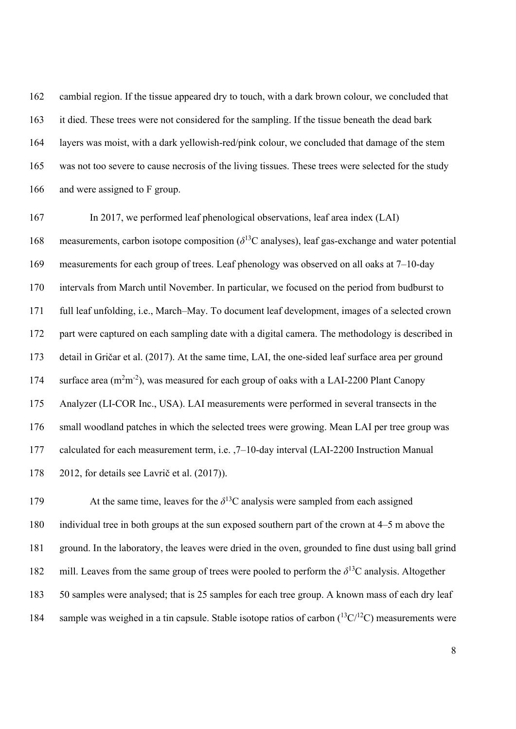162 cambial region. If the tissue appeared dry to touch, with a dark brown colour, we concluded that 163 it died. These trees were not considered for the sampling. If the tissue beneath the dead bark 164 layers was moist, with a dark yellowish-red/pink colour, we concluded that damage of the stem 165 was not too severe to cause necrosis of the living tissues. These trees were selected for the study 166 and were assigned to F group.

167 In 2017, we performed leaf phenological observations, leaf area index (LAI) 168 measurements, carbon isotope composition  $(\delta^{13}C$  analyses), leaf gas-exchange and water potential 169 measurements for each group of trees. Leaf phenology was observed on all oaks at 7–10-day 170 intervals from March until November. In particular, we focused on the period from budburst to 171 full leaf unfolding, i.e., March–May. To document leaf development, images of a selected crown 172 part were captured on each sampling date with a digital camera. The methodology is described in 173 detail in Gričar et al. (2017). At the same time, LAI, the one-sided leaf surface area per ground 174 surface area  $(m<sup>2</sup>m<sup>-2</sup>)$ , was measured for each group of oaks with a LAI-2200 Plant Canopy 175 Analyzer (LI-COR Inc., USA). LAI measurements were performed in several transects in the 176 small woodland patches in which the selected trees were growing. Mean LAI per tree group was 177 calculated for each measurement term, i.e. ,7–10-day interval (LAI-2200 Instruction Manual 178 2012, for details see Lavrič et al. (2017)).

179 At the same time, leaves for the  $\delta^{13}$ C analysis were sampled from each assigned 180 individual tree in both groups at the sun exposed southern part of the crown at 4–5 m above the 181 ground. In the laboratory, the leaves were dried in the oven, grounded to fine dust using ball grind 182 mill. Leaves from the same group of trees were pooled to perform the  $\delta^{13}$ C analysis. Altogether 183 50 samples were analysed; that is 25 samples for each tree group. A known mass of each dry leaf 184 sample was weighed in a tin capsule. Stable isotope ratios of carbon  $(^{13}C^{12}C)$  measurements were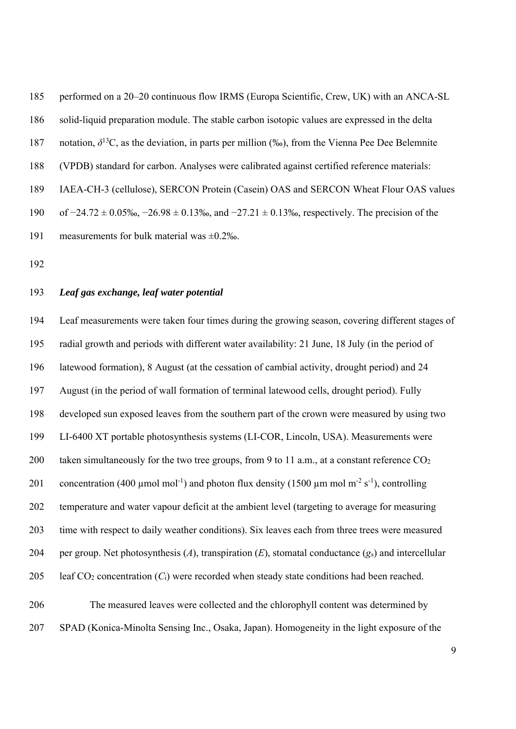185 performed on a 20–20 continuous flow IRMS (Europa Scientific, Crew, UK) with an ANCA-SL 186 solid-liquid preparation module. The stable carbon isotopic values are expressed in the delta 187 notation,  $\delta^{13}$ C, as the deviation, in parts per million (‰), from the Vienna Pee Dee Belemnite 188 (VPDB) standard for carbon. Analyses were calibrated against certified reference materials: 189 IAEA-CH-3 (cellulose), SERCON Protein (Casein) OAS and SERCON Wheat Flour OAS values 190 of −24.72 ± 0.05‰, −26.98 ± 0.13‰, and −27.21 ± 0.13‰, respectively. The precision of the 191 measurements for bulk material was ±0.2‰.

192

# 193 *Leaf gas exchange, leaf water potential*

194 Leaf measurements were taken four times during the growing season, covering different stages of 195 radial growth and periods with different water availability: 21 June, 18 July (in the period of 196 latewood formation), 8 August (at the cessation of cambial activity, drought period) and 24 197 August (in the period of wall formation of terminal latewood cells, drought period). Fully 198 developed sun exposed leaves from the southern part of the crown were measured by using two 199 LI-6400 XT portable photosynthesis systems (LI-COR, Lincoln, USA). Measurements were 200 taken simultaneously for the two tree groups, from 9 to 11 a.m., at a constant reference  $CO<sub>2</sub>$ 201 concentration (400 µmol mol<sup>-1</sup>) and photon flux density (1500 µm mol m<sup>-2</sup> s<sup>-1</sup>), controlling 202 temperature and water vapour deficit at the ambient level (targeting to average for measuring 203 time with respect to daily weather conditions). Six leaves each from three trees were measured 204 per group. Net photosynthesis (*A*), transpiration (*E*), stomatal conductance (*g*s) and intercellular 205 leaf CO2 concentration (*C*i) were recorded when steady state conditions had been reached.

206 The measured leaves were collected and the chlorophyll content was determined by 207 SPAD (Konica-Minolta Sensing Inc., Osaka, Japan). Homogeneity in the light exposure of the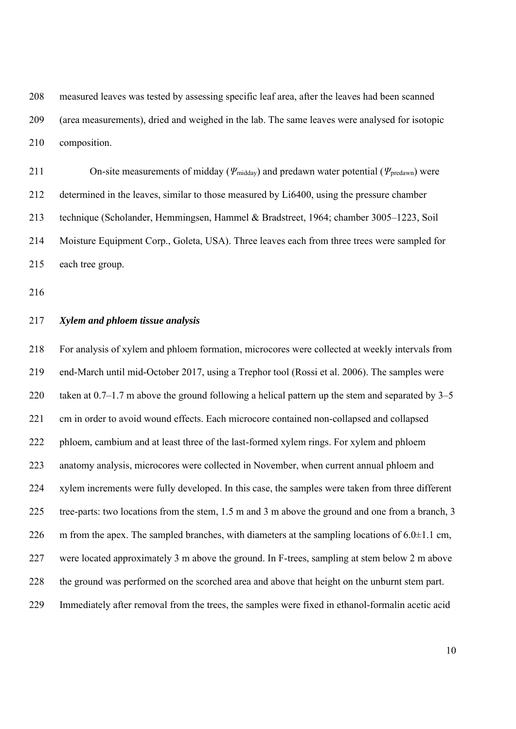208 measured leaves was tested by assessing specific leaf area, after the leaves had been scanned 209 (area measurements), dried and weighed in the lab. The same leaves were analysed for isotopic 210 composition.

211 On-site measurements of midday (*Ψ*midday) and predawn water potential (*Ψ*predawn) were 212 determined in the leaves, similar to those measured by Li6400, using the pressure chamber 213 technique (Scholander, Hemmingsen, Hammel & Bradstreet, 1964; chamber 3005–1223, Soil 214 Moisture Equipment Corp., Goleta, USA). Three leaves each from three trees were sampled for 215 each tree group.

216

### 217 *Xylem and phloem tissue analysis*

218 For analysis of xylem and phloem formation, microcores were collected at weekly intervals from 219 end-March until mid-October 2017, using a Trephor tool (Rossi et al. 2006). The samples were 220 taken at  $0.7-1.7$  m above the ground following a helical pattern up the stem and separated by  $3-5$ 221 cm in order to avoid wound effects. Each microcore contained non-collapsed and collapsed 222 phloem, cambium and at least three of the last-formed xylem rings. For xylem and phloem 223 anatomy analysis, microcores were collected in November, when current annual phloem and 224 xylem increments were fully developed. In this case, the samples were taken from three different 225 tree-parts: two locations from the stem, 1.5 m and 3 m above the ground and one from a branch, 3 226 m from the apex. The sampled branches, with diameters at the sampling locations of  $6.0 \pm 1.1$  cm, 227 were located approximately 3 m above the ground. In F-trees, sampling at stem below 2 m above 228 the ground was performed on the scorched area and above that height on the unburnt stem part. 229 Immediately after removal from the trees, the samples were fixed in ethanol-formalin acetic acid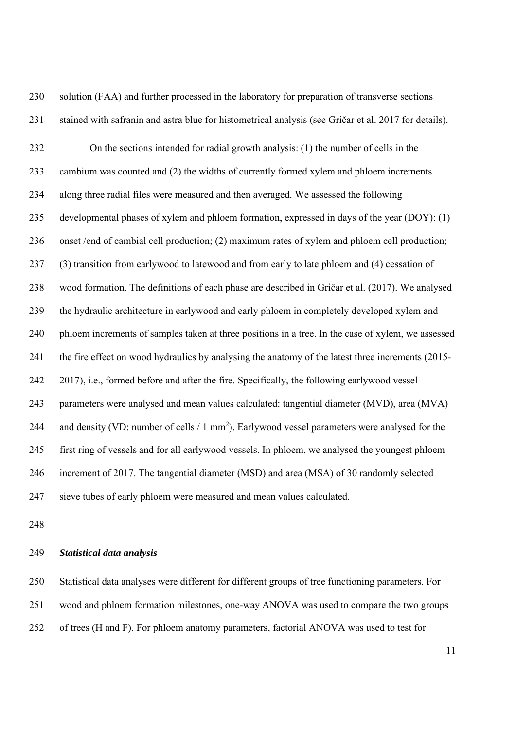230 solution (FAA) and further processed in the laboratory for preparation of transverse sections 231 stained with safranin and astra blue for histometrical analysis (see Gričar et al. 2017 for details). 232 On the sections intended for radial growth analysis: (1) the number of cells in the 233 cambium was counted and (2) the widths of currently formed xylem and phloem increments 234 along three radial files were measured and then averaged. We assessed the following 235 developmental phases of xylem and phloem formation, expressed in days of the year (DOY): (1) 236 onset /end of cambial cell production; (2) maximum rates of xylem and phloem cell production; 237 (3) transition from earlywood to latewood and from early to late phloem and (4) cessation of 238 wood formation. The definitions of each phase are described in Gričar et al. (2017). We analysed 239 the hydraulic architecture in earlywood and early phloem in completely developed xylem and 240 phloem increments of samples taken at three positions in a tree. In the case of xylem, we assessed 241 the fire effect on wood hydraulics by analysing the anatomy of the latest three increments (2015- 242 2017), i.e., formed before and after the fire. Specifically, the following earlywood vessel 243 parameters were analysed and mean values calculated: tangential diameter (MVD), area (MVA) 244 and density (VD: number of cells  $/ 1$  mm<sup>2</sup>). Earlywood vessel parameters were analysed for the 245 first ring of vessels and for all earlywood vessels. In phloem, we analysed the youngest phloem 246 increment of 2017. The tangential diameter (MSD) and area (MSA) of 30 randomly selected 247 sieve tubes of early phloem were measured and mean values calculated.

248

### 249 *Statistical data analysis*

250 Statistical data analyses were different for different groups of tree functioning parameters. For 251 wood and phloem formation milestones, one-way ANOVA was used to compare the two groups

252 of trees (H and F). For phloem anatomy parameters, factorial ANOVA was used to test for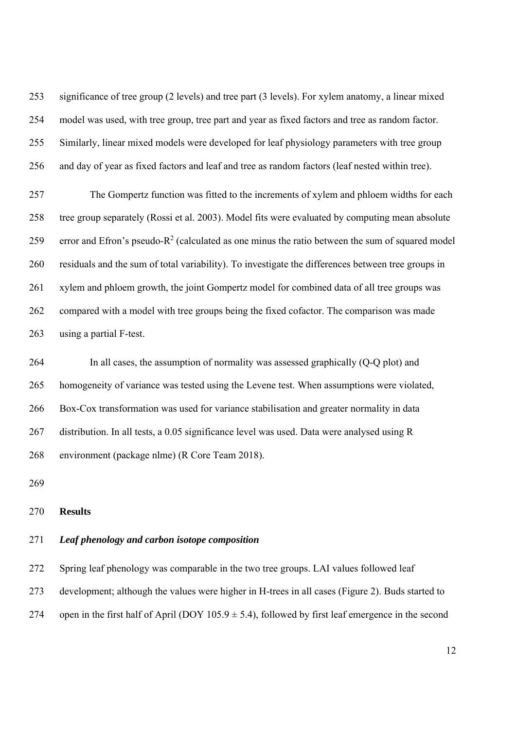253 significance of tree group (2 levels) and tree part (3 levels). For xylem anatomy, a linear mixed 254 model was used, with tree group, tree part and year as fixed factors and tree as random factor. 255 Similarly, linear mixed models were developed for leaf physiology parameters with tree group 256 and day of year as fixed factors and leaf and tree as random factors (leaf nested within tree).

257 The Gompertz function was fitted to the increments of xylem and phloem widths for each 258 tree group separately (Rossi et al. 2003). Model fits were evaluated by computing mean absolute 259 error and Efron's pseudo- $R^2$  (calculated as one minus the ratio between the sum of squared model 260 residuals and the sum of total variability). To investigate the differences between tree groups in 261 xylem and phloem growth, the joint Gompertz model for combined data of all tree groups was 262 compared with a model with tree groups being the fixed cofactor. The comparison was made 263 using a partial F-test.

264 In all cases, the assumption of normality was assessed graphically (Q-Q plot) and 265 homogeneity of variance was tested using the Levene test. When assumptions were violated, 266 Box-Cox transformation was used for variance stabilisation and greater normality in data 267 distribution. In all tests, a 0.05 significance level was used. Data were analysed using R 268 environment (package nlme) (R Core Team 2018).

269

### 270 **Results**

### 271 *Leaf phenology and carbon isotope composition*

272 Spring leaf phenology was comparable in the two tree groups. LAI values followed leaf 273 development; although the values were higher in H-trees in all cases (Figure 2). Buds started to 274 open in the first half of April (DOY  $105.9 \pm 5.4$ ), followed by first leaf emergence in the second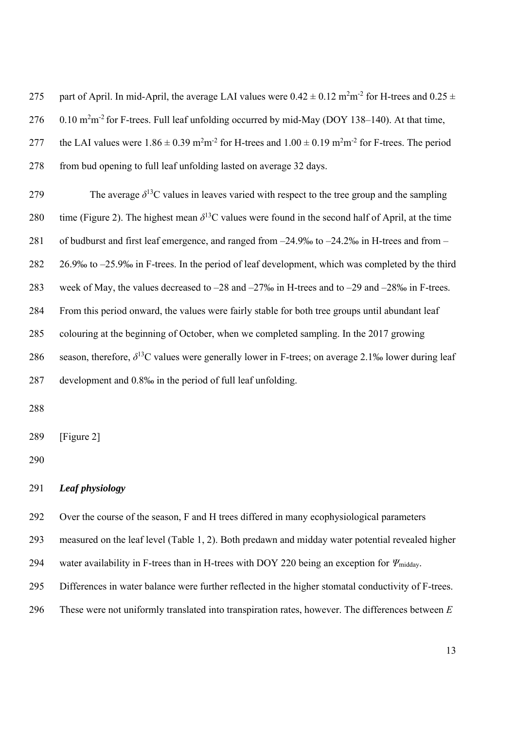275 part of April. In mid-April, the average LAI values were  $0.42 \pm 0.12$  m<sup>2</sup>m<sup>-2</sup> for H-trees and  $0.25 \pm 0.12$ 276  $0.10 \text{ m}^2\text{m}^2$  for F-trees. Full leaf unfolding occurred by mid-May (DOY 138–140). At that time, 277 the LAI values were  $1.86 \pm 0.39$  m<sup>2</sup>m<sup>-2</sup> for H-trees and  $1.00 \pm 0.19$  m<sup>2</sup>m<sup>-2</sup> for F-trees. The period 278 from bud opening to full leaf unfolding lasted on average 32 days.

The average  $\delta^{13}$ C values in leaves varied with respect to the tree group and the sampling 280 time (Figure 2). The highest mean  $\delta^{13}$ C values were found in the second half of April, at the time 281 of budburst and first leaf emergence, and ranged from –24.9‰ to –24.2‰ in H-trees and from – 282 26.9‰ to –25.9‰ in F-trees. In the period of leaf development, which was completed by the third 283 week of May, the values decreased to –28 and –27‰ in H-trees and to –29 and –28‰ in F-trees. 284 From this period onward, the values were fairly stable for both tree groups until abundant leaf 285 colouring at the beginning of October, when we completed sampling. In the 2017 growing 286 season, therefore,  $\delta^{13}$ C values were generally lower in F-trees; on average 2.1‰ lower during leaf 287 development and 0.8‰ in the period of full leaf unfolding.

288

289 [Figure 2]

290

# 291 *Leaf physiology*

292 Over the course of the season, F and H trees differed in many ecophysiological parameters

293 measured on the leaf level (Table 1, 2). Both predawn and midday water potential revealed higher

294 water availability in F-trees than in H-trees with DOY 220 being an exception for *Ψ*<sub>midday</sub>.

295 Differences in water balance were further reflected in the higher stomatal conductivity of F-trees.

296 These were not uniformly translated into transpiration rates, however. The differences between *E*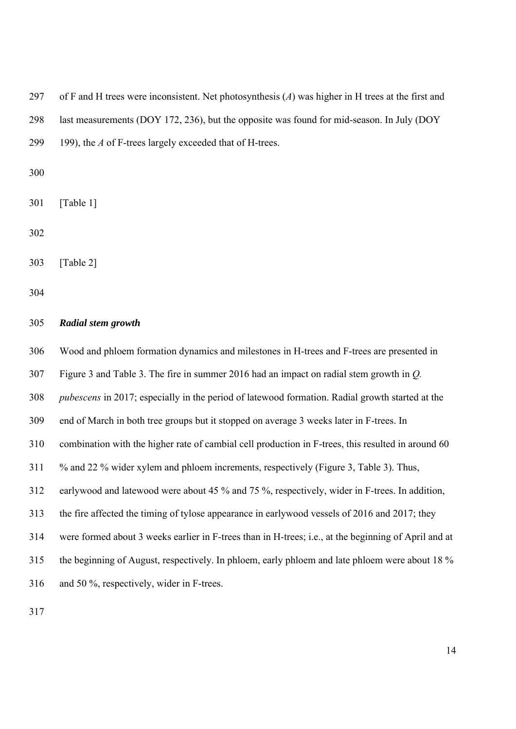297 of F and H trees were inconsistent. Net photosynthesis (*A*) was higher in H trees at the first and 298 last measurements (DOY 172, 236), but the opposite was found for mid-season. In July (DOY 299 199), the *A* of F-trees largely exceeded that of H-trees.

300

301 [Table 1]

302

303 [Table 2]

304

### 305 *Radial stem growth*

306 Wood and phloem formation dynamics and milestones in H-trees and F-trees are presented in

307 Figure 3 and Table 3. The fire in summer 2016 had an impact on radial stem growth in *Q.* 

308 *pubescens* in 2017; especially in the period of latewood formation. Radial growth started at the

309 end of March in both tree groups but it stopped on average 3 weeks later in F-trees. In

310 combination with the higher rate of cambial cell production in F-trees, this resulted in around 60

- 311 % and 22 % wider xylem and phloem increments, respectively (Figure 3, Table 3). Thus,
- 312 earlywood and latewood were about 45 % and 75 %, respectively, wider in F-trees. In addition,
- 313 the fire affected the timing of tylose appearance in earlywood vessels of 2016 and 2017; they

314 were formed about 3 weeks earlier in F-trees than in H-trees; i.e., at the beginning of April and at

315 the beginning of August, respectively. In phloem, early phloem and late phloem were about 18 %

316 and 50 %, respectively, wider in F-trees.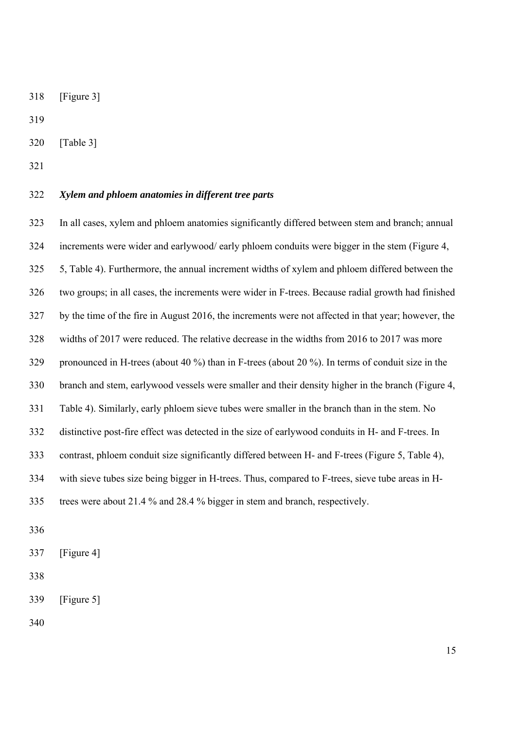318 [Figure 3]

319

- 320 [Table 3]
- 321

# 322 *Xylem and phloem anatomies in different tree parts*

323 In all cases, xylem and phloem anatomies significantly differed between stem and branch; annual 324 increments were wider and earlywood/ early phloem conduits were bigger in the stem (Figure 4, 325 5, Table 4). Furthermore, the annual increment widths of xylem and phloem differed between the 326 two groups; in all cases, the increments were wider in F-trees. Because radial growth had finished 327 by the time of the fire in August 2016, the increments were not affected in that year; however, the 328 widths of 2017 were reduced. The relative decrease in the widths from 2016 to 2017 was more 329 pronounced in H-trees (about 40 %) than in F-trees (about 20 %). In terms of conduit size in the 330 branch and stem, earlywood vessels were smaller and their density higher in the branch (Figure 4, 331 Table 4). Similarly, early phloem sieve tubes were smaller in the branch than in the stem. No 332 distinctive post-fire effect was detected in the size of earlywood conduits in H- and F-trees. In 333 contrast, phloem conduit size significantly differed between H- and F-trees (Figure 5, Table 4), 334 with sieve tubes size being bigger in H-trees. Thus, compared to F-trees, sieve tube areas in H-335 trees were about 21.4 % and 28.4 % bigger in stem and branch, respectively.

- 336
- 337 [Figure 4]
- 338

```
339 [Figure 5]
```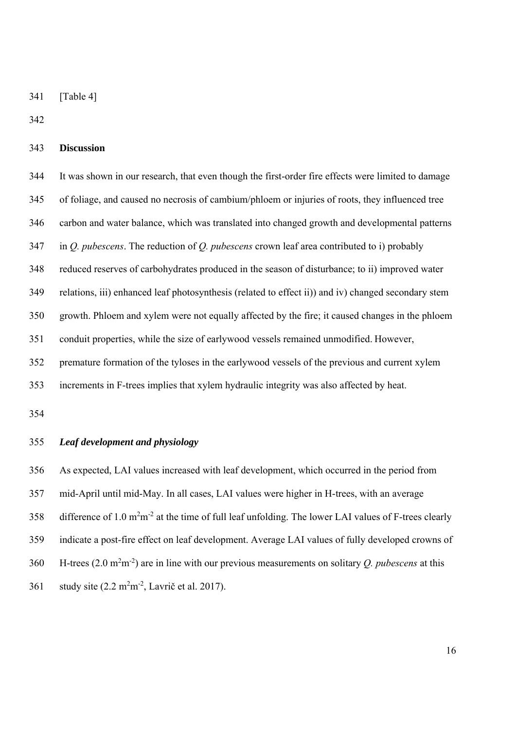341 [Table 4]

342

## 343 **Discussion**

344 It was shown in our research, that even though the first-order fire effects were limited to damage 345 of foliage, and caused no necrosis of cambium/phloem or injuries of roots, they influenced tree 346 carbon and water balance, which was translated into changed growth and developmental patterns 347 in *Q. pubescens*. The reduction of *Q. pubescens* crown leaf area contributed to i) probably 348 reduced reserves of carbohydrates produced in the season of disturbance; to ii) improved water 349 relations, iii) enhanced leaf photosynthesis (related to effect ii)) and iv) changed secondary stem 350 growth. Phloem and xylem were not equally affected by the fire; it caused changes in the phloem 351 conduit properties, while the size of earlywood vessels remained unmodified. However, 352 premature formation of the tyloses in the earlywood vessels of the previous and current xylem 353 increments in F-trees implies that xylem hydraulic integrity was also affected by heat.

354

### 355 *Leaf development and physiology*

356 As expected, LAI values increased with leaf development, which occurred in the period from 357 mid-April until mid-May. In all cases, LAI values were higher in H-trees, with an average 358 difference of 1.0  $m^2m^{-2}$  at the time of full leaf unfolding. The lower LAI values of F-trees clearly 359 indicate a post-fire effect on leaf development. Average LAI values of fully developed crowns of 360 H-trees  $(2.0 \text{ m}^2 \text{m}^2)$  are in line with our previous measurements on solitary *Q. pubescens* at this 361 study site  $(2.2 \text{ m}^2 \text{m}^2, \text{Lavrič et al. } 2017)$ .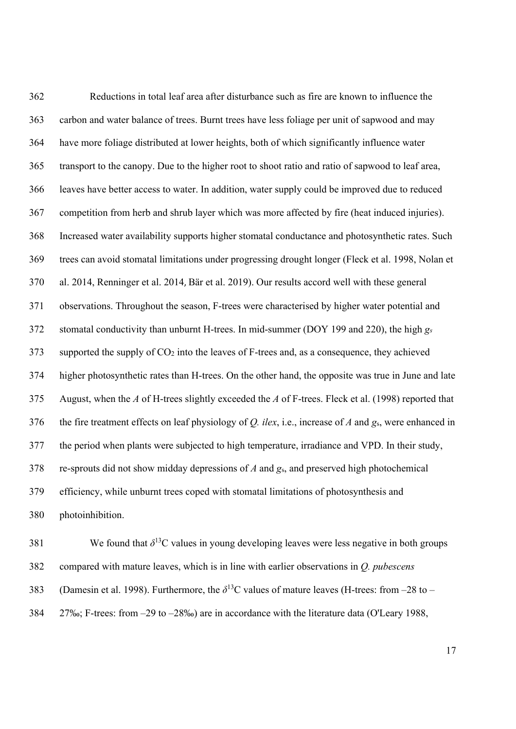362 Reductions in total leaf area after disturbance such as fire are known to influence the 363 carbon and water balance of trees. Burnt trees have less foliage per unit of sapwood and may 364 have more foliage distributed at lower heights, both of which significantly influence water 365 transport to the canopy. Due to the higher root to shoot ratio and ratio of sapwood to leaf area, 366 leaves have better access to water. In addition, water supply could be improved due to reduced 367 competition from herb and shrub layer which was more affected by fire (heat induced injuries). 368 Increased water availability supports higher stomatal conductance and photosynthetic rates. Such 369 trees can avoid stomatal limitations under progressing drought longer (Fleck et al. 1998, Nolan et 370 al. 2014, Renninger et al. 2014, Bär et al. 2019). Our results accord well with these general 371 observations. Throughout the season, F-trees were characterised by higher water potential and 372 stomatal conductivity than unburnt H-trees. In mid-summer (DOY 199 and 220), the high *gs* 373 supported the supply of CO2 into the leaves of F-trees and, as a consequence, they achieved 374 higher photosynthetic rates than H-trees. On the other hand, the opposite was true in June and late 375 August, when the *A* of H-trees slightly exceeded the *A* of F-trees. Fleck et al. (1998) reported that 376 the fire treatment effects on leaf physiology of *Q. ilex*, i.e., increase of *A* and *g*s, were enhanced in 377 the period when plants were subjected to high temperature, irradiance and VPD. In their study, 378 re-sprouts did not show midday depressions of *A* and *g*s, and preserved high photochemical 379 efficiency, while unburnt trees coped with stomatal limitations of photosynthesis and 380 photoinhibition.

381 We found that  $\delta^{13}$ C values in young developing leaves were less negative in both groups 382 compared with mature leaves, which is in line with earlier observations in *Q. pubescens* 383 (Damesin et al. 1998). Furthermore, the  $\delta^{13}$ C values of mature leaves (H-trees: from –28 to – 384 27‰; F-trees: from –29 to –28‰) are in accordance with the literature data (O'Leary 1988,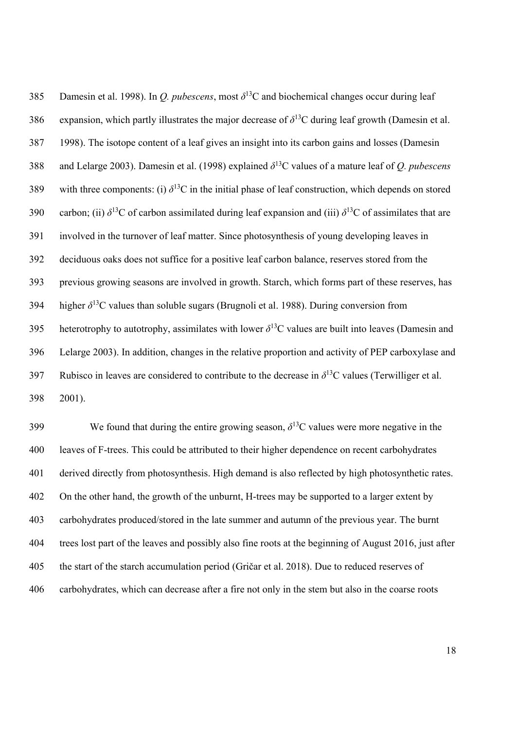385 Damesin et al. 1998). In *Q. pubescens*, most  $\delta^{13}$ C and biochemical changes occur during leaf 386 expansion, which partly illustrates the major decrease of  $\delta^{13}$ C during leaf growth (Damesin et al. 387 1998). The isotope content of a leaf gives an insight into its carbon gains and losses (Damesin 388 and Lelarge 2003). Damesin et al. (1998) explained  $\delta^{13}$ C values of a mature leaf of *Q. pubescens* 389 with three components: (i)  $\delta^{13}$ C in the initial phase of leaf construction, which depends on stored 390 carbon; (ii)  $\delta^{13}$ C of carbon assimilated during leaf expansion and (iii)  $\delta^{13}$ C of assimilates that are 391 involved in the turnover of leaf matter. Since photosynthesis of young developing leaves in 392 deciduous oaks does not suffice for a positive leaf carbon balance, reserves stored from the 393 previous growing seasons are involved in growth. Starch, which forms part of these reserves, has  $394$  higher  $\delta^{13}$ C values than soluble sugars (Brugnoli et al. 1988). During conversion from heterotrophy to autotrophy, assimilates with lower  $\delta^{13}$ C values are built into leaves (Damesin and 396 Lelarge 2003). In addition, changes in the relative proportion and activity of PEP carboxylase and Rubisco in leaves are considered to contribute to the decrease in  $\delta^{13}$ C values (Terwilliger et al. 398 2001).

We found that during the entire growing season,  $\delta^{13}$ C values were more negative in the 400 leaves of F-trees. This could be attributed to their higher dependence on recent carbohydrates 401 derived directly from photosynthesis. High demand is also reflected by high photosynthetic rates. 402 On the other hand, the growth of the unburnt, H-trees may be supported to a larger extent by 403 carbohydrates produced/stored in the late summer and autumn of the previous year. The burnt 404 trees lost part of the leaves and possibly also fine roots at the beginning of August 2016, just after 405 the start of the starch accumulation period (Gričar et al. 2018). Due to reduced reserves of 406 carbohydrates, which can decrease after a fire not only in the stem but also in the coarse roots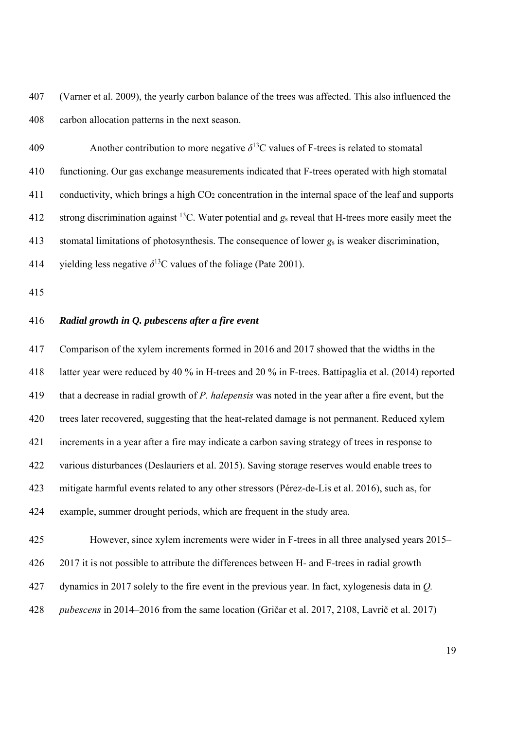407 (Varner et al. 2009), the yearly carbon balance of the trees was affected. This also influenced the 408 carbon allocation patterns in the next season.

Another contribution to more negative  $\delta^{13}$ C values of F-trees is related to stomatal 410 functioning. Our gas exchange measurements indicated that F-trees operated with high stomatal 411 conductivity, which brings a high  $CO<sub>2</sub>$  concentration in the internal space of the leaf and supports 412 strong discrimination against <sup>13</sup>C. Water potential and  $g_s$  reveal that H-trees more easily meet the 413 stomatal limitations of photosynthesis. The consequence of lower *g*s is weaker discrimination, 414 yielding less negative  $\delta^{13}$ C values of the foliage (Pate 2001).

415

# 416 *Radial growth in Q. pubescens after a fire event*

417 Comparison of the xylem increments formed in 2016 and 2017 showed that the widths in the 418 latter year were reduced by 40 % in H-trees and 20 % in F-trees. Battipaglia et al. (2014) reported 419 that a decrease in radial growth of *P. halepensis* was noted in the year after a fire event, but the 420 trees later recovered, suggesting that the heat-related damage is not permanent. Reduced xylem 421 increments in a year after a fire may indicate a carbon saving strategy of trees in response to 422 various disturbances (Deslauriers et al. 2015). Saving storage reserves would enable trees to 423 mitigate harmful events related to any other stressors (Pérez-de-Lis et al. 2016), such as, for 424 example, summer drought periods, which are frequent in the study area.

425 However, since xylem increments were wider in F-trees in all three analysed years 2015– 426 2017 it is not possible to attribute the differences between H- and F-trees in radial growth 427 dynamics in 2017 solely to the fire event in the previous year. In fact, xylogenesis data in *Q.*  428 *pubescens* in 2014–2016 from the same location (Gričar et al. 2017, 2108, Lavrič et al. 2017)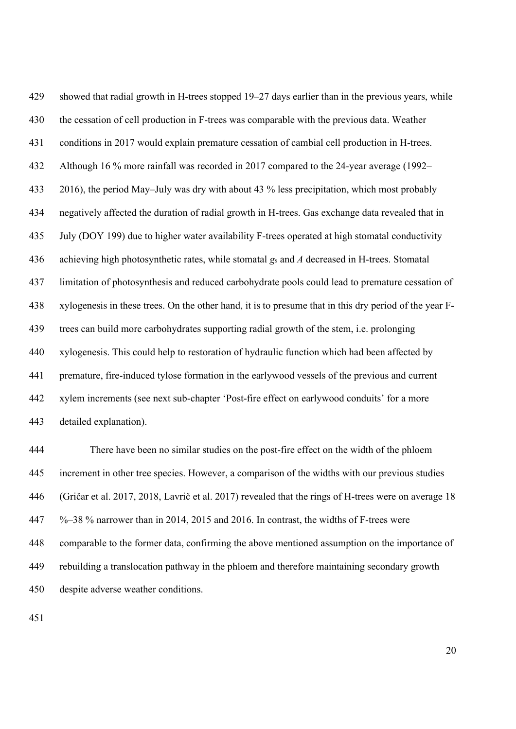429 showed that radial growth in H-trees stopped 19–27 days earlier than in the previous years, while 430 the cessation of cell production in F-trees was comparable with the previous data. Weather 431 conditions in 2017 would explain premature cessation of cambial cell production in H-trees. 432 Although 16 % more rainfall was recorded in 2017 compared to the 24-year average (1992– 433 2016), the period May–July was dry with about 43 % less precipitation, which most probably 434 negatively affected the duration of radial growth in H-trees. Gas exchange data revealed that in 435 July (DOY 199) due to higher water availability F-trees operated at high stomatal conductivity 436 achieving high photosynthetic rates, while stomatal *g*s and *A* decreased in H-trees. Stomatal 437 limitation of photosynthesis and reduced carbohydrate pools could lead to premature cessation of 438 xylogenesis in these trees. On the other hand, it is to presume that in this dry period of the year F-439 trees can build more carbohydrates supporting radial growth of the stem, i.e. prolonging 440 xylogenesis. This could help to restoration of hydraulic function which had been affected by 441 premature, fire-induced tylose formation in the earlywood vessels of the previous and current 442 xylem increments (see next sub-chapter 'Post-fire effect on earlywood conduits' for a more 443 detailed explanation).

444 There have been no similar studies on the post-fire effect on the width of the phloem 445 increment in other tree species. However, a comparison of the widths with our previous studies 446 (Gričar et al. 2017, 2018, Lavrič et al. 2017) revealed that the rings of H-trees were on average 18 447 %–38 % narrower than in 2014, 2015 and 2016. In contrast, the widths of F-trees were 448 comparable to the former data, confirming the above mentioned assumption on the importance of 449 rebuilding a translocation pathway in the phloem and therefore maintaining secondary growth 450 despite adverse weather conditions.

451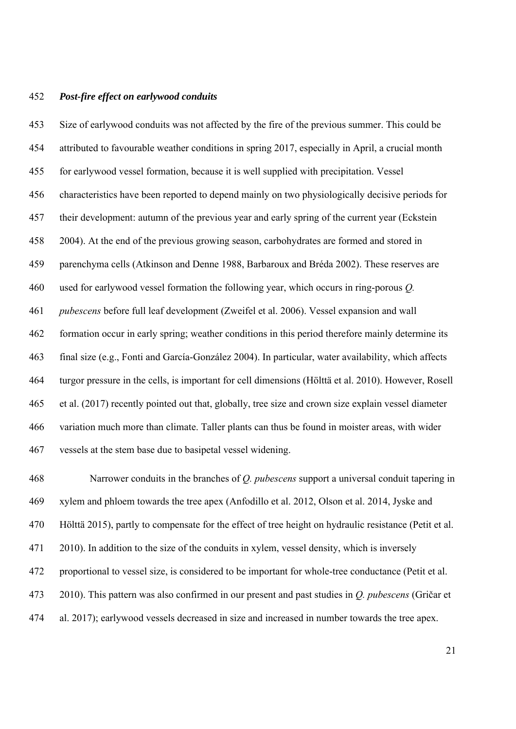#### 452 *Post-fire effect on earlywood conduits*

453 Size of earlywood conduits was not affected by the fire of the previous summer. This could be 454 attributed to favourable weather conditions in spring 2017, especially in April, a crucial month 455 for earlywood vessel formation, because it is well supplied with precipitation. Vessel 456 characteristics have been reported to depend mainly on two physiologically decisive periods for 457 their development: autumn of the previous year and early spring of the current year (Eckstein 458 2004). At the end of the previous growing season, carbohydrates are formed and stored in 459 parenchyma cells (Atkinson and Denne 1988, Barbaroux and Bréda 2002). These reserves are 460 used for earlywood vessel formation the following year, which occurs in ring-porous *Q.*  461 *pubescens* before full leaf development (Zweifel et al. 2006). Vessel expansion and wall 462 formation occur in early spring; weather conditions in this period therefore mainly determine its 463 final size (e.g., Fonti and García-González 2004). In particular, water availability, which affects 464 turgor pressure in the cells, is important for cell dimensions (Hölttä et al. 2010). However, Rosell 465 et al. (2017) recently pointed out that, globally, tree size and crown size explain vessel diameter 466 variation much more than climate. Taller plants can thus be found in moister areas, with wider 467 vessels at the stem base due to basipetal vessel widening.

468 Narrower conduits in the branches of *Q. pubescens* support a universal conduit tapering in 469 xylem and phloem towards the tree apex (Anfodillo et al. 2012, Olson et al. 2014, Jyske and 470 Hölttä 2015), partly to compensate for the effect of tree height on hydraulic resistance (Petit et al. 471 2010). In addition to the size of the conduits in xylem, vessel density, which is inversely 472 proportional to vessel size, is considered to be important for whole-tree conductance (Petit et al. 473 2010). This pattern was also confirmed in our present and past studies in *Q. pubescens* (Gričar et 474 al. 2017); earlywood vessels decreased in size and increased in number towards the tree apex.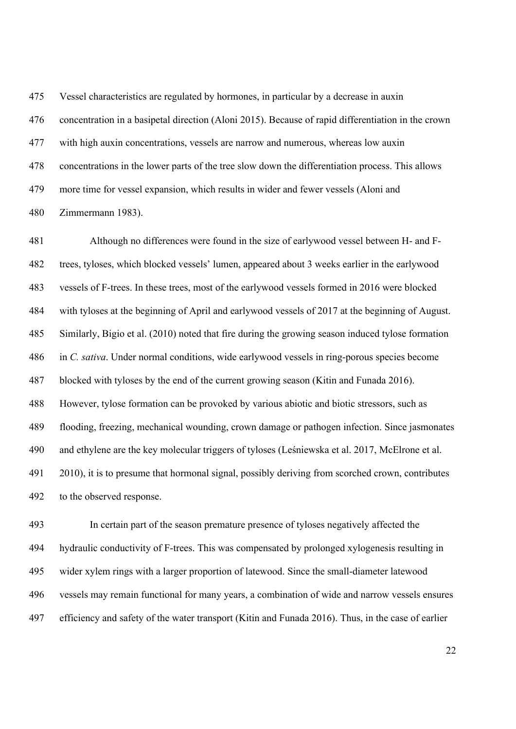475 Vessel characteristics are regulated by hormones, in particular by a decrease in auxin 476 concentration in a basipetal direction (Aloni 2015). Because of rapid differentiation in the crown 477 with high auxin concentrations, vessels are narrow and numerous, whereas low auxin 478 concentrations in the lower parts of the tree slow down the differentiation process. This allows 479 more time for vessel expansion, which results in wider and fewer vessels (Aloni and 480 Zimmermann 1983).

481 Although no differences were found in the size of earlywood vessel between H- and F-482 trees, tyloses, which blocked vessels' lumen, appeared about 3 weeks earlier in the earlywood 483 vessels of F-trees. In these trees, most of the earlywood vessels formed in 2016 were blocked 484 with tyloses at the beginning of April and earlywood vessels of 2017 at the beginning of August. 485 Similarly, Bigio et al. (2010) noted that fire during the growing season induced tylose formation 486 in *C. sativa*. Under normal conditions, wide earlywood vessels in ring-porous species become 487 blocked with tyloses by the end of the current growing season (Kitin and Funada 2016). 488 However, tylose formation can be provoked by various abiotic and biotic stressors, such as 489 flooding, freezing, mechanical wounding, crown damage or pathogen infection. Since jasmonates 490 and ethylene are the key molecular triggers of tyloses (Leśniewska et al. 2017, McElrone et al. 491 2010), it is to presume that hormonal signal, possibly deriving from scorched crown, contributes 492 to the observed response.

493 In certain part of the season premature presence of tyloses negatively affected the 494 hydraulic conductivity of F-trees. This was compensated by prolonged xylogenesis resulting in 495 wider xylem rings with a larger proportion of latewood. Since the small-diameter latewood 496 vessels may remain functional for many years, a combination of wide and narrow vessels ensures 497 efficiency and safety of the water transport (Kitin and Funada 2016). Thus, in the case of earlier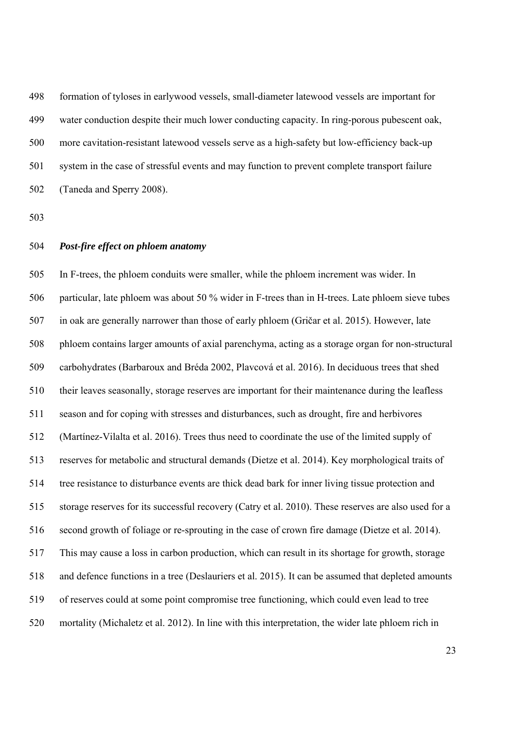498 formation of tyloses in earlywood vessels, small-diameter latewood vessels are important for 499 water conduction despite their much lower conducting capacity. In ring-porous pubescent oak, 500 more cavitation-resistant latewood vessels serve as a high-safety but low-efficiency back-up 501 system in the case of stressful events and may function to prevent complete transport failure 502 (Taneda and Sperry 2008).

503

#### 504 *Post-fire effect on phloem anatomy*

505 In F-trees, the phloem conduits were smaller, while the phloem increment was wider. In 506 particular, late phloem was about 50 % wider in F-trees than in H-trees. Late phloem sieve tubes 507 in oak are generally narrower than those of early phloem (Gričar et al. 2015). However, late 508 phloem contains larger amounts of axial parenchyma, acting as a storage organ for non-structural 509 carbohydrates (Barbaroux and Bréda 2002, Plavcová et al. 2016). In deciduous trees that shed 510 their leaves seasonally, storage reserves are important for their maintenance during the leafless 511 season and for coping with stresses and disturbances, such as drought, fire and herbivores 512 (Martínez-Vilalta et al. 2016). Trees thus need to coordinate the use of the limited supply of 513 reserves for metabolic and structural demands (Dietze et al. 2014). Key morphological traits of 514 tree resistance to disturbance events are thick dead bark for inner living tissue protection and 515 storage reserves for its successful recovery (Catry et al. 2010). These reserves are also used for a 516 second growth of foliage or re-sprouting in the case of crown fire damage (Dietze et al. 2014). 517 This may cause a loss in carbon production, which can result in its shortage for growth, storage 518 and defence functions in a tree (Deslauriers et al. 2015). It can be assumed that depleted amounts 519 of reserves could at some point compromise tree functioning, which could even lead to tree 520 mortality (Michaletz et al. 2012). In line with this interpretation, the wider late phloem rich in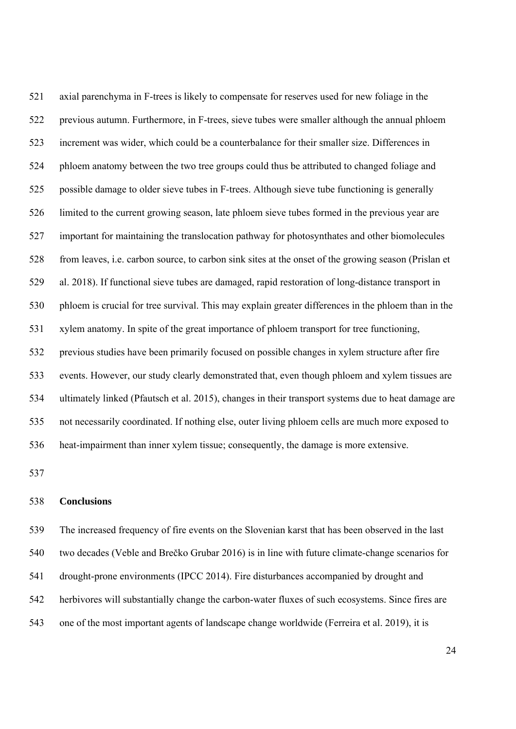521 axial parenchyma in F-trees is likely to compensate for reserves used for new foliage in the 522 previous autumn. Furthermore, in F-trees, sieve tubes were smaller although the annual phloem 523 increment was wider, which could be a counterbalance for their smaller size. Differences in 524 phloem anatomy between the two tree groups could thus be attributed to changed foliage and 525 possible damage to older sieve tubes in F-trees. Although sieve tube functioning is generally 526 limited to the current growing season, late phloem sieve tubes formed in the previous year are 527 important for maintaining the translocation pathway for photosynthates and other biomolecules 528 from leaves, i.e. carbon source, to carbon sink sites at the onset of the growing season (Prislan et 529 al. 2018). If functional sieve tubes are damaged, rapid restoration of long-distance transport in 530 phloem is crucial for tree survival. This may explain greater differences in the phloem than in the 531 xylem anatomy. In spite of the great importance of phloem transport for tree functioning, 532 previous studies have been primarily focused on possible changes in xylem structure after fire 533 events. However, our study clearly demonstrated that, even though phloem and xylem tissues are 534 ultimately linked (Pfautsch et al. 2015), changes in their transport systems due to heat damage are 535 not necessarily coordinated. If nothing else, outer living phloem cells are much more exposed to 536 heat-impairment than inner xylem tissue; consequently, the damage is more extensive.

537

### 538 **Conclusions**

539 The increased frequency of fire events on the Slovenian karst that has been observed in the last 540 two decades (Veble and Brečko Grubar 2016) is in line with future climate-change scenarios for 541 drought-prone environments (IPCC 2014). Fire disturbances accompanied by drought and 542 herbivores will substantially change the carbon-water fluxes of such ecosystems. Since fires are 543 one of the most important agents of landscape change worldwide (Ferreira et al. 2019), it is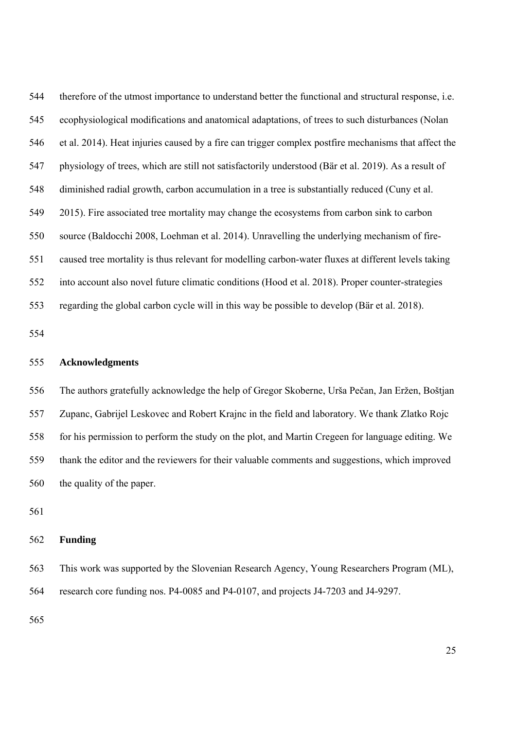544 therefore of the utmost importance to understand better the functional and structural response, i.e. 545 ecophysiological modifications and anatomical adaptations, of trees to such disturbances (Nolan 546 et al. 2014). Heat injuries caused by a fire can trigger complex postfire mechanisms that affect the 547 physiology of trees, which are still not satisfactorily understood (Bär et al. 2019). As a result of 548 diminished radial growth, carbon accumulation in a tree is substantially reduced (Cuny et al. 549 2015). Fire associated tree mortality may change the ecosystems from carbon sink to carbon 550 source (Baldocchi 2008, Loehman et al. 2014). Unravelling the underlying mechanism of fire-551 caused tree mortality is thus relevant for modelling carbon-water fluxes at different levels taking 552 into account also novel future climatic conditions (Hood et al. 2018). Proper counter-strategies 553 regarding the global carbon cycle will in this way be possible to develop (Bär et al. 2018).

554

### 555 **Acknowledgments**

556 The authors gratefully acknowledge the help of Gregor Skoberne, Urša Pečan, Jan Eržen, Boštjan 557 Zupanc, Gabrijel Leskovec and Robert Krajnc in the field and laboratory. We thank Zlatko Rojc 558 for his permission to perform the study on the plot, and Martin Cregeen for language editing. We 559 thank the editor and the reviewers for their valuable comments and suggestions, which improved 560 the quality of the paper.

561

### 562 **Funding**

563 This work was supported by the Slovenian Research Agency, Young Researchers Program (ML), 564 research core funding nos. P4-0085 and P4-0107, and projects J4-7203 and J4-9297.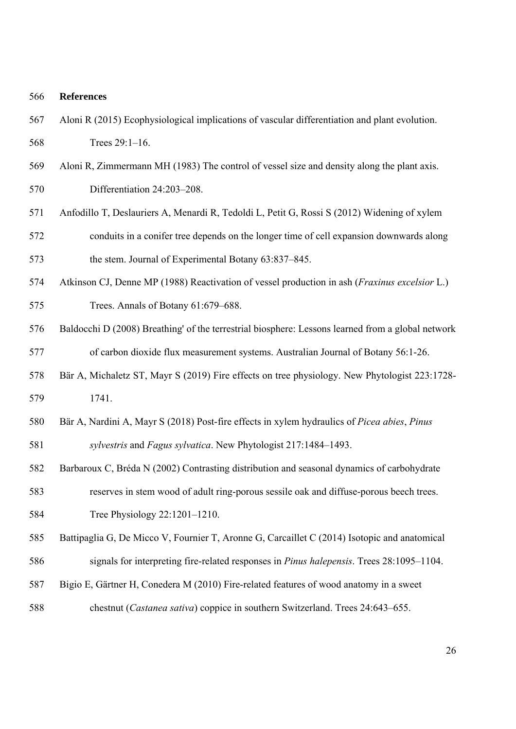#### 566 **References**

- 567 Aloni R (2015) Ecophysiological implications of vascular differentiation and plant evolution. 568 Trees 29:1–16.
- 569 Aloni R, Zimmermann MH (1983) The control of vessel size and density along the plant axis. 570 Differentiation 24:203–208.
- 571 Anfodillo T, Deslauriers A, Menardi R, Tedoldi L, Petit G, Rossi S (2012) Widening of xylem 572 conduits in a conifer tree depends on the longer time of cell expansion downwards along 573 the stem. Journal of Experimental Botany 63:837–845.
- 574 Atkinson CJ, Denne MP (1988) Reactivation of vessel production in ash (*Fraxinus excelsior* L.) 575 Trees. Annals of Botany 61:679–688.
- 576 Baldocchi D (2008) Breathing' of the terrestrial biosphere: Lessons learned from a global network 577 of carbon dioxide flux measurement systems. Australian Journal of Botany 56:1-26.
- 578 Bär A, Michaletz ST, Mayr S (2019) Fire effects on tree physiology. New Phytologist 223:1728- 579 1741.
- 580 Bär A, Nardini A, Mayr S (2018) Post-fire effects in xylem hydraulics of *Picea abies*, *Pinus*  581 *sylvestris* and *Fagus sylvatica*. New Phytologist 217:1484–1493.
- 582 Barbaroux C, Bréda N (2002) Contrasting distribution and seasonal dynamics of carbohydrate 583 reserves in stem wood of adult ring-porous sessile oak and diffuse-porous beech trees.
- 584 Tree Physiology 22:1201–1210.
- 585 Battipaglia G, De Micco V, Fournier T, Aronne G, Carcaillet C (2014) Isotopic and anatomical
- 586 signals for interpreting fire-related responses in *Pinus halepensis*. Trees 28:1095–1104.
- 587 Bigio E, Gärtner H, Conedera M (2010) Fire-related features of wood anatomy in a sweet
- 588 chestnut (*Castanea sativa*) coppice in southern Switzerland. Trees 24:643–655.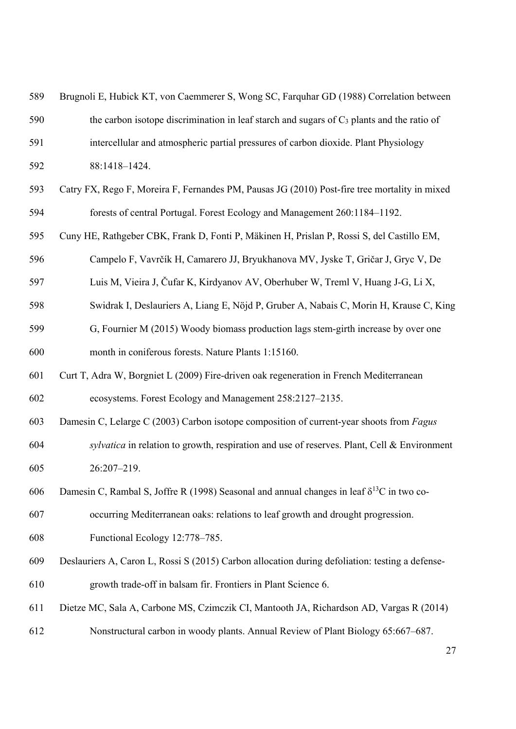| 589 | Brugnoli E, Hubick KT, von Caemmerer S, Wong SC, Farquhar GD (1988) Correlation between             |
|-----|-----------------------------------------------------------------------------------------------------|
| 590 | the carbon isotope discrimination in leaf starch and sugars of $C_3$ plants and the ratio of        |
| 591 | intercellular and atmospheric partial pressures of carbon dioxide. Plant Physiology                 |
| 592 | 88:1418-1424.                                                                                       |
| 593 | Catry FX, Rego F, Moreira F, Fernandes PM, Pausas JG (2010) Post-fire tree mortality in mixed       |
| 594 | forests of central Portugal. Forest Ecology and Management 260:1184-1192.                           |
| 595 | Cuny HE, Rathgeber CBK, Frank D, Fonti P, Mäkinen H, Prislan P, Rossi S, del Castillo EM,           |
| 596 | Campelo F, Vavrčík H, Camarero JJ, Bryukhanova MV, Jyske T, Gričar J, Gryc V, De                    |
| 597 | Luis M, Vieira J, Čufar K, Kirdyanov AV, Oberhuber W, Treml V, Huang J-G, Li X,                     |
| 598 | Swidrak I, Deslauriers A, Liang E, Nöjd P, Gruber A, Nabais C, Morin H, Krause C, King              |
| 599 | G, Fournier M (2015) Woody biomass production lags stem-girth increase by over one                  |
| 600 | month in coniferous forests. Nature Plants 1:15160.                                                 |
| 601 | Curt T, Adra W, Borgniet L (2009) Fire-driven oak regeneration in French Mediterranean              |
| 602 | ecosystems. Forest Ecology and Management 258:2127-2135.                                            |
| 603 | Damesin C, Lelarge C (2003) Carbon isotope composition of current-year shoots from Fagus            |
| 604 | sylvatica in relation to growth, respiration and use of reserves. Plant, Cell & Environment         |
| 605 | 26:207-219.                                                                                         |
| 606 | Damesin C, Rambal S, Joffre R (1998) Seasonal and annual changes in leaf $\delta^{13}$ C in two co- |
| 607 | occurring Mediterranean oaks: relations to leaf growth and drought progression.                     |
| 608 | Functional Ecology 12:778-785.                                                                      |
| 609 | Deslauriers A, Caron L, Rossi S (2015) Carbon allocation during defoliation: testing a defense-     |
| 610 | growth trade-off in balsam fir. Frontiers in Plant Science 6.                                       |
| 611 | Dietze MC, Sala A, Carbone MS, Czimczik CI, Mantooth JA, Richardson AD, Vargas R (2014)             |
| 612 | Nonstructural carbon in woody plants. Annual Review of Plant Biology 65:667–687.                    |
|     |                                                                                                     |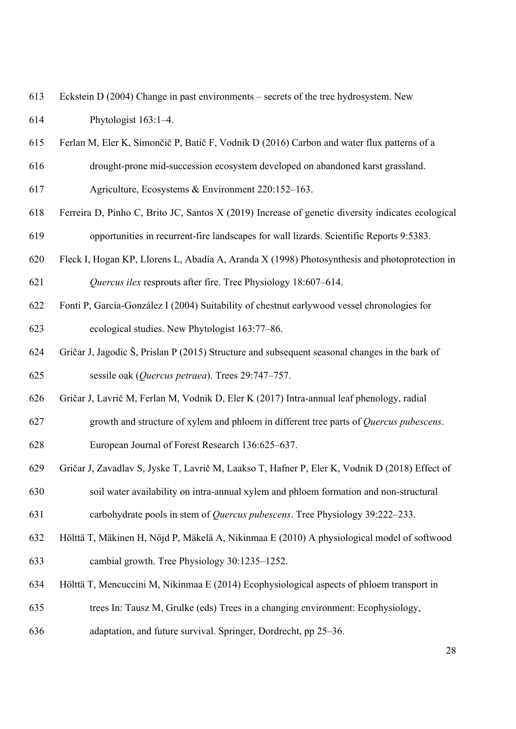| 613 | Eckstein D (2004) Change in past environments – secrets of the tree hydrosystem. New |
|-----|--------------------------------------------------------------------------------------|
| 614 | Phytologist $163:1-4$ .                                                              |

- 615 Ferlan M, Eler K, Simončič P, Batič F, Vodnik D (2016) Carbon and water flux patterns of a
- 616 drought-prone mid-succession ecosystem developed on abandoned karst grassland.
- 617 Agriculture, Ecosystems & Environment 220:152–163.
- 618 Ferreira D, Pinho C, Brito JC, Santos X (2019) Increase of genetic diversity indicates ecological 619 opportunities in recurrent-fire landscapes for wall lizards. Scientific Reports 9:5383.
- 620 Fleck I, Hogan KP, Llorens L, Abadía A, Aranda X (1998) Photosynthesis and photoprotection in 621 *Quercus ilex* resprouts after fire. Tree Physiology 18:607–614.
- 622 Fonti P, García-González I (2004) Suitability of chestnut earlywood vessel chronologies for 623 ecological studies. New Phytologist 163:77–86.
- 624 Gričar J, Jagodic Š, Prislan P (2015) Structure and subsequent seasonal changes in the bark of 625 sessile oak (*Quercus petraea*). Trees 29:747–757.
- 626 Gričar J, Lavrič M, Ferlan M, Vodnik D, Eler K (2017) Intra-annual leaf phenology, radial
- 627 growth and structure of xylem and phloem in different tree parts of *Quercus pubescens*.

628 European Journal of Forest Research 136:625–637.

- 629 Gričar J, Zavadlav S, Jyske T, Lavrič M, Laakso T, Hafner P, Eler K, Vodnik D (2018) Effect of 630 soil water availability on intra-annual xylem and phloem formation and non-structural
- 631 carbohydrate pools in stem of *Quercus pubescens*. Tree Physiology 39:222–233.
- 632 Hölttä T, Mäkinen H, Nöjd P, Mäkelä A, Nikinmaa E (2010) A physiological model of softwood 633 cambial growth. Tree Physiology 30:1235–1252.
- 634 Hölttä T, Mencuccini M, Nikinmaa E (2014) Ecophysiological aspects of phloem transport in
- 635 trees In: Tausz M, Grulke (eds) Trees in a changing environment: Ecophysiology,
- 636 adaptation, and future survival. Springer, Dordrecht, pp 25–36.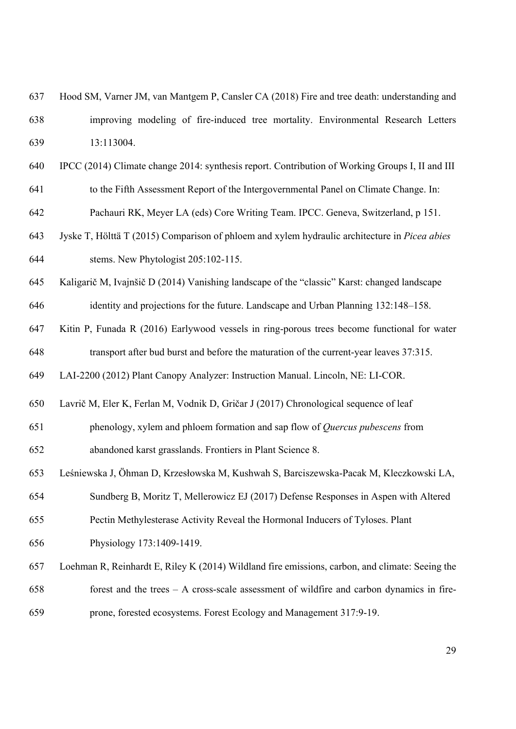- 637 Hood SM, Varner JM, van Mantgem P, Cansler CA (2018) Fire and tree death: understanding and 638 improving modeling of fire-induced tree mortality. Environmental Research Letters 639 13:113004.
- 640 IPCC (2014) Climate change 2014: synthesis report. Contribution of Working Groups I, II and III 641 to the Fifth Assessment Report of the Intergovernmental Panel on Climate Change. In:

642 Pachauri RK, Meyer LA (eds) Core Writing Team. IPCC. Geneva, Switzerland, p 151.

- 643 Jyske T, Hölttä T (2015) Comparison of phloem and xylem hydraulic architecture in *Picea abies* 644 stems. New Phytologist 205:102-115.
- 645 Kaligarič M, Ivajnšič D (2014) Vanishing landscape of the "classic" Karst: changed landscape 646 identity and projections for the future. Landscape and Urban Planning 132:148–158.
- 647 Kitin P, Funada R (2016) Earlywood vessels in ring-porous trees become functional for water 648 transport after bud burst and before the maturation of the current-year leaves 37:315.
- 649 LAI-2200 (2012) Plant Canopy Analyzer: Instruction Manual. Lincoln, NE: LI-COR.
- 650 Lavrič M, Eler K, Ferlan M, Vodnik D, Gričar J (2017) Chronological sequence of leaf
- 651 phenology, xylem and phloem formation and sap flow of *Quercus pubescens* from 652 abandoned karst grasslands. Frontiers in Plant Science 8.
- 653 Leśniewska J, Öhman D, Krzesłowska M, Kushwah S, Barciszewska-Pacak M, Kleczkowski LA,
- 654 Sundberg B, Moritz T, Mellerowicz EJ (2017) Defense Responses in Aspen with Altered
- 655 Pectin Methylesterase Activity Reveal the Hormonal Inducers of Tyloses. Plant
- 656 Physiology 173:1409-1419.
- 657 Loehman R, Reinhardt E, Riley K (2014) Wildland fire emissions, carbon, and climate: Seeing the 658 forest and the trees – A cross-scale assessment of wildfire and carbon dynamics in fire-659 prone, forested ecosystems. Forest Ecology and Management 317:9-19.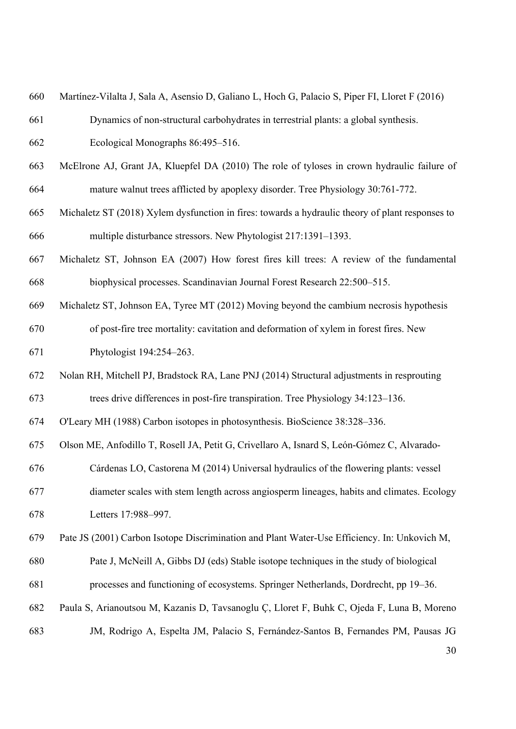| 660 | Martínez-Vilalta J, Sala A, Asensio D, Galiano L, Hoch G, Palacio S, Piper FI, Lloret F (2016)   |
|-----|--------------------------------------------------------------------------------------------------|
| 661 | Dynamics of non-structural carbohydrates in terrestrial plants: a global synthesis.              |
| 662 | Ecological Monographs 86:495-516.                                                                |
| 663 | McElrone AJ, Grant JA, Kluepfel DA (2010) The role of tyloses in crown hydraulic failure of      |
| 664 | mature walnut trees afflicted by apoplexy disorder. Tree Physiology 30:761-772.                  |
| 665 | Michaletz ST (2018) Xylem dysfunction in fires: towards a hydraulic theory of plant responses to |
| 666 | multiple disturbance stressors. New Phytologist 217:1391-1393.                                   |
| 667 | Michaletz ST, Johnson EA (2007) How forest fires kill trees: A review of the fundamental         |
| 668 | biophysical processes. Scandinavian Journal Forest Research 22:500-515.                          |
| 669 | Michaletz ST, Johnson EA, Tyree MT (2012) Moving beyond the cambium necrosis hypothesis          |
| 670 | of post-fire tree mortality: cavitation and deformation of xylem in forest fires. New            |
| 671 | Phytologist 194:254-263.                                                                         |
| 672 | Nolan RH, Mitchell PJ, Bradstock RA, Lane PNJ (2014) Structural adjustments in resprouting       |
| 673 | trees drive differences in post-fire transpiration. Tree Physiology 34:123-136.                  |
| 674 | O'Leary MH (1988) Carbon isotopes in photosynthesis. BioScience 38:328-336.                      |
| 675 | Olson ME, Anfodillo T, Rosell JA, Petit G, Crivellaro A, Isnard S, León-Gómez C, Alvarado-       |
| 676 | Cárdenas LO, Castorena M (2014) Universal hydraulics of the flowering plants: vessel             |
| 677 | diameter scales with stem length across angiosperm lineages, habits and climates. Ecology        |
| 678 | Letters 17:988-997.                                                                              |
| 679 | Pate JS (2001) Carbon Isotope Discrimination and Plant Water-Use Efficiency. In: Unkovich M,     |
| 680 | Pate J, McNeill A, Gibbs DJ (eds) Stable isotope techniques in the study of biological           |
| 681 | processes and functioning of ecosystems. Springer Netherlands, Dordrecht, pp 19–36.              |
| 682 | Paula S, Arianoutsou M, Kazanis D, Tavsanoglu Ç, Lloret F, Buhk C, Ojeda F, Luna B, Moreno       |
| 683 | JM, Rodrigo A, Espelta JM, Palacio S, Fernández-Santos B, Fernandes PM, Pausas JG                |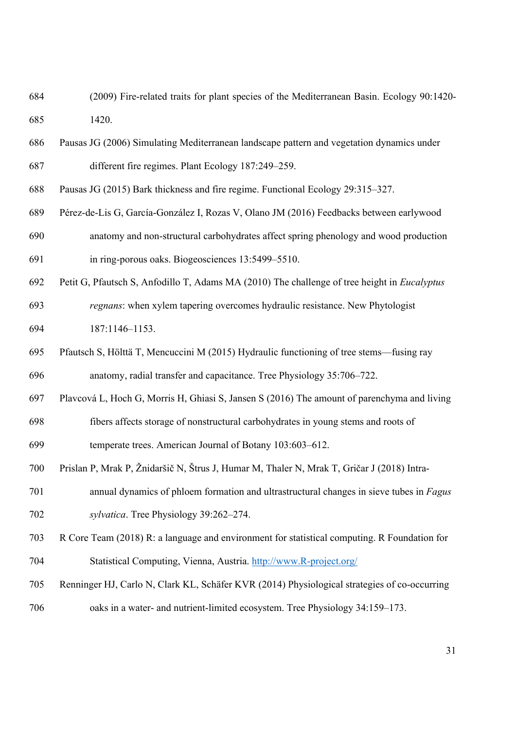- 684 (2009) Fire-related traits for plant species of the Mediterranean Basin. Ecology 90:1420- 685 1420.
- 686 Pausas JG (2006) Simulating Mediterranean landscape pattern and vegetation dynamics under 687 different fire regimes. Plant Ecology 187:249–259.
- 688 Pausas JG (2015) Bark thickness and fire regime. Functional Ecology 29:315–327.
- 689 Pérez-de-Lis G, García-González I, Rozas V, Olano JM (2016) Feedbacks between earlywood 690 anatomy and non-structural carbohydrates affect spring phenology and wood production 691 in ring-porous oaks. Biogeosciences 13:5499–5510.
- 692 Petit G, Pfautsch S, Anfodillo T, Adams MA (2010) The challenge of tree height in *Eucalyptus*
- 693 *regnans*: when xylem tapering overcomes hydraulic resistance. New Phytologist 694 187:1146–1153.
- 695 Pfautsch S, Hölttä T, Mencuccini M (2015) Hydraulic functioning of tree stems—fusing ray 696 anatomy, radial transfer and capacitance. Tree Physiology 35:706–722.
- 697 Plavcová L, Hoch G, Morris H, Ghiasi S, Jansen S (2016) The amount of parenchyma and living
- 698 fibers affects storage of nonstructural carbohydrates in young stems and roots of
- 699 temperate trees. American Journal of Botany 103:603–612.
- 700 Prislan P, Mrak P, Žnidaršič N, Štrus J, Humar M, Thaler N, Mrak T, Gričar J (2018) Intra-
- 701 annual dynamics of phloem formation and ultrastructural changes in sieve tubes in *Fagus*  702 *sylvatica*. Tree Physiology 39:262–274.
- 703 R Core Team (2018) R: a language and environment for statistical computing. R Foundation for 704 Statistical Computing, Vienna, Austria. http://www.R-project.org/
- 705 Renninger HJ, Carlo N, Clark KL, Schäfer KVR (2014) Physiological strategies of co-occurring 706 oaks in a water- and nutrient-limited ecosystem. Tree Physiology 34:159–173.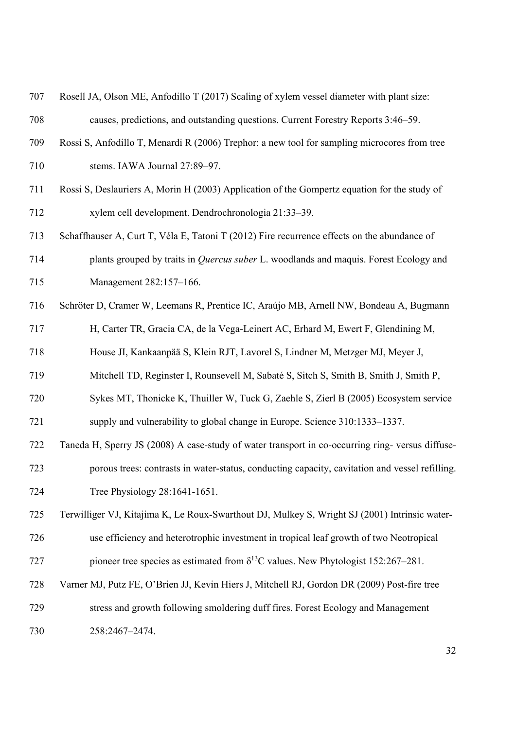| 707 | Rosell JA, Olson ME, Anfodillo T (2017) Scaling of xylem vessel diameter with plant size:        |
|-----|--------------------------------------------------------------------------------------------------|
| 708 | causes, predictions, and outstanding questions. Current Forestry Reports 3:46–59.                |
| 709 | Rossi S, Anfodillo T, Menardi R (2006) Trephor: a new tool for sampling microcores from tree     |
| 710 | stems. IAWA Journal 27:89-97.                                                                    |
| 711 | Rossi S, Deslauriers A, Morin H (2003) Application of the Gompertz equation for the study of     |
| 712 | xylem cell development. Dendrochronologia 21:33-39.                                              |
| 713 | Schaffhauser A, Curt T, Véla E, Tatoni T (2012) Fire recurrence effects on the abundance of      |
| 714 | plants grouped by traits in <i>Quercus suber L</i> . woodlands and maquis. Forest Ecology and    |
| 715 | Management 282:157-166.                                                                          |
| 716 | Schröter D, Cramer W, Leemans R, Prentice IC, Araújo MB, Arnell NW, Bondeau A, Bugmann           |
| 717 | H, Carter TR, Gracia CA, de la Vega-Leinert AC, Erhard M, Ewert F, Glendining M,                 |
| 718 | House JI, Kankaanpää S, Klein RJT, Lavorel S, Lindner M, Metzger MJ, Meyer J,                    |
| 719 | Mitchell TD, Reginster I, Rounsevell M, Sabaté S, Sitch S, Smith B, Smith J, Smith P,            |
| 720 | Sykes MT, Thonicke K, Thuiller W, Tuck G, Zaehle S, Zierl B (2005) Ecosystem service             |
| 721 | supply and vulnerability to global change in Europe. Science 310:1333-1337.                      |
| 722 | Taneda H, Sperry JS (2008) A case-study of water transport in co-occurring ring- versus diffuse- |
| 723 | porous trees: contrasts in water-status, conducting capacity, cavitation and vessel refilling.   |
| 724 | Tree Physiology 28:1641-1651.                                                                    |
| 725 | Terwilliger VJ, Kitajima K, Le Roux-Swarthout DJ, Mulkey S, Wright SJ (2001) Intrinsic water-    |
| 726 | use efficiency and heterotrophic investment in tropical leaf growth of two Neotropical           |
| 727 | pioneer tree species as estimated from $\delta^{13}$ C values. New Phytologist 152:267–281.      |
| 728 | Varner MJ, Putz FE, O'Brien JJ, Kevin Hiers J, Mitchell RJ, Gordon DR (2009) Post-fire tree      |
| 729 | stress and growth following smoldering duff fires. Forest Ecology and Management                 |
| 730 | 258:2467-2474.                                                                                   |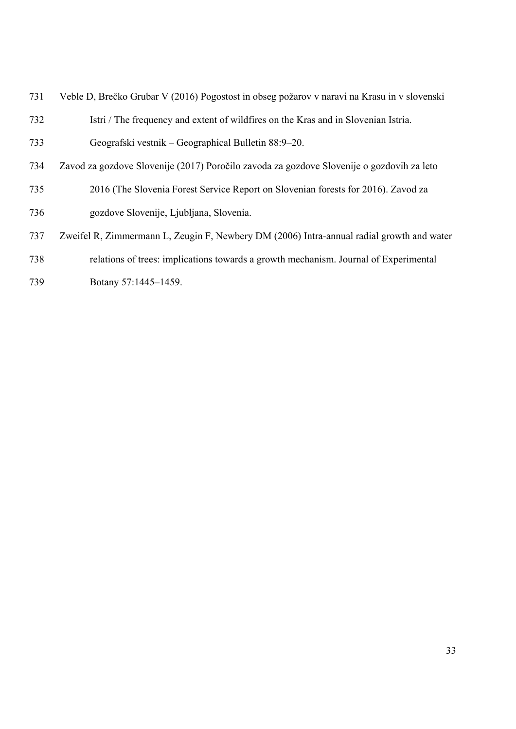- 731 Veble D, Brečko Grubar V (2016) Pogostost in obseg požarov v naravi na Krasu in v slovenski 732 Istri / The frequency and extent of wildfires on the Kras and in Slovenian Istria. 733 Geografski vestnik – Geographical Bulletin 88:9–20. 734 Zavod za gozdove Slovenije (2017) Poročilo zavoda za gozdove Slovenije o gozdovih za leto
- 735 2016 (The Slovenia Forest Service Report on Slovenian forests for 2016). Zavod za 736 gozdove Slovenije, Ljubljana, Slovenia.
- 737 Zweifel R, Zimmermann L, Zeugin F, Newbery DM (2006) Intra-annual radial growth and water
- 738 relations of trees: implications towards a growth mechanism. Journal of Experimental
- 739 Botany 57:1445–1459.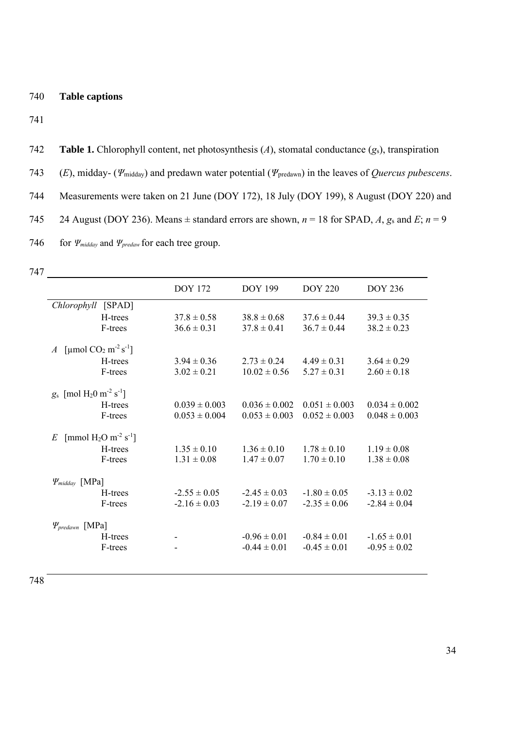742 **Table 1.** Chlorophyll content, net photosynthesis (*A*), stomatal conductance (*g*s), transpiration

743 (*E*), midday- (*Ψ*midday) and predawn water potential (*Ψ*predawn) in the leaves of *Quercus pubescens*.

744 Measurements were taken on 21 June (DOY 172), 18 July (DOY 199), 8 August (DOY 220) and

745 24 August (DOY 236). Means  $\pm$  standard errors are shown,  $n = 18$  for SPAD, A,  $g_s$  and  $E$ ;  $n = 9$ 



|                                                               | <b>DOY 172</b>    | <b>DOY 199</b>    | <b>DOY 220</b>    | <b>DOY 236</b>    |
|---------------------------------------------------------------|-------------------|-------------------|-------------------|-------------------|
| Chlorophyll [SPAD]                                            |                   |                   |                   |                   |
| H-trees                                                       | $37.8 \pm 0.58$   | $38.8 \pm 0.68$   | $37.6 \pm 0.44$   | $39.3 \pm 0.35$   |
| F-trees                                                       | $36.6 \pm 0.31$   | $37.8 \pm 0.41$   | $36.7 \pm 0.44$   | $38.2 \pm 0.23$   |
| A [µmol $CO2 m-2 s-1$ ]                                       |                   |                   |                   |                   |
| H-trees                                                       | $3.94 \pm 0.36$   | $2.73 \pm 0.24$   | $4.49 \pm 0.31$   | $3.64 \pm 0.29$   |
| F-trees                                                       | $3.02 \pm 0.21$   | $10.02 \pm 0.56$  | $5.27 \pm 0.31$   | $2.60 \pm 0.18$   |
| $g_s$ [mol H <sub>2</sub> 0 m <sup>-2</sup> s <sup>-1</sup> ] |                   |                   |                   |                   |
| H-trees                                                       | $0.039 \pm 0.003$ | $0.036 \pm 0.002$ | $0.051 \pm 0.003$ | $0.034 \pm 0.002$ |
| F-trees                                                       | $0.053 \pm 0.004$ | $0.053 \pm 0.003$ | $0.052 \pm 0.003$ | $0.048 \pm 0.003$ |
| E [mmol H <sub>2</sub> O m <sup>-2</sup> s <sup>-1</sup> ]    |                   |                   |                   |                   |
| H-trees                                                       | $1.35 \pm 0.10$   | $1.36 \pm 0.10$   | $1.78 \pm 0.10$   | $1.19 \pm 0.08$   |
| F-trees                                                       | $1.31 \pm 0.08$   | $1.47 \pm 0.07$   | $1.70 \pm 0.10$   | $1.38 \pm 0.08$   |
| $\Psi_{midday}$ [MPa]                                         |                   |                   |                   |                   |
| H-trees                                                       | $-2.55 \pm 0.05$  | $-2.45 \pm 0.03$  | $-1.80 \pm 0.05$  | $-3.13 \pm 0.02$  |
| F-trees                                                       | $-2.16 \pm 0.03$  | $-2.19 \pm 0.07$  | $-2.35 \pm 0.06$  | $-2.84 \pm 0.04$  |
| $\Psi_{predawn}$ [MPa]                                        |                   |                   |                   |                   |
| H-trees                                                       |                   | $-0.96 \pm 0.01$  | $-0.84 \pm 0.01$  | $-1.65 \pm 0.01$  |
| F-trees                                                       |                   | $-0.44 \pm 0.01$  | $-0.45 \pm 0.01$  | $-0.95 \pm 0.02$  |
|                                                               |                   |                   |                   |                   |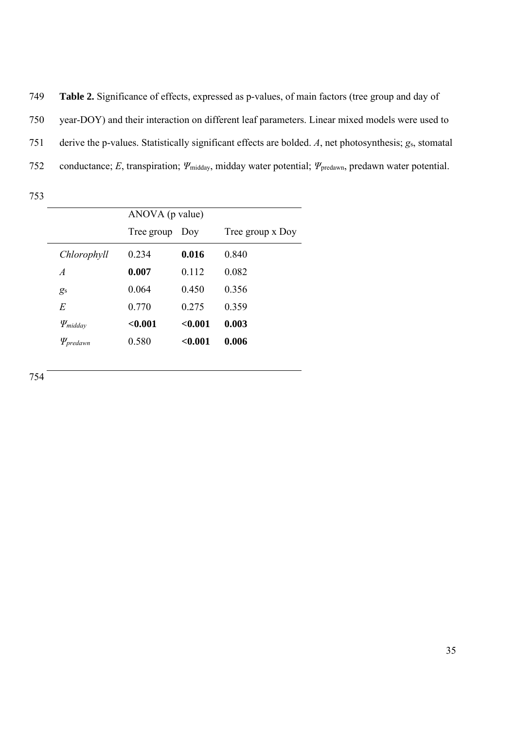749 **Table 2.** Significance of effects, expressed as p-values, of main factors (tree group and day of 750 year-DOY) and their interaction on different leaf parameters. Linear mixed models were used to 751 derive the p-values. Statistically significant effects are bolded. *A*, net photosynthesis; *g*s, stomatal 752 conductance; *E*, transpiration; *Ψ*midday, midday water potential; *Ψ*predawn, predawn water potential.

|                  | ANOVA (p value) |         |                  |  |
|------------------|-----------------|---------|------------------|--|
|                  | Tree group      | Doy     | Tree group x Doy |  |
| Chlorophyll      | 0.234           | 0.016   | 0.840            |  |
| $\overline{A}$   | 0.007           | 0.112   | 0.082            |  |
| g <sub>s</sub>   | 0.064           | 0.450   | 0.356            |  |
| E                | 0.770           | 0.275   | 0.359            |  |
| $\Psi_{midday}$  | < 0.001         | < 0.001 | 0.003            |  |
| $\Psi_{predawn}$ | 0.580           | < 0.001 | 0.006            |  |
|                  |                 |         |                  |  |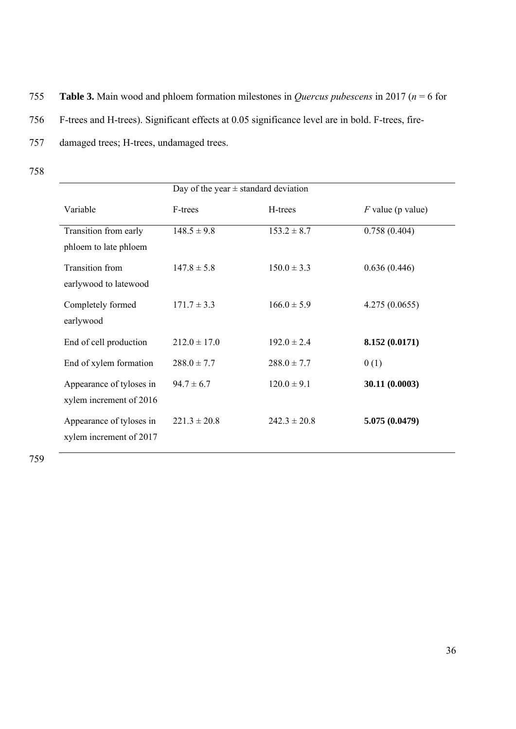755 **Table 3.** Main wood and phloem formation milestones in *Quercus pubescens* in 2017 (*n* = 6 for 756 F-trees and H-trees). Significant effects at 0.05 significance level are in bold. F-trees, fire-757 damaged trees; H-trees, undamaged trees.

758

|                                                     | Day of the year $\pm$ standard deviation |                  |                     |  |
|-----------------------------------------------------|------------------------------------------|------------------|---------------------|--|
| Variable                                            | F-trees                                  | H-trees          | $F$ value (p value) |  |
| Transition from early<br>phloem to late phloem      | $148.5 \pm 9.8$                          | $153.2 \pm 8.7$  | 0.758(0.404)        |  |
| <b>Transition</b> from<br>earlywood to latewood     | $147.8 \pm 5.8$                          | $150.0 \pm 3.3$  | 0.636(0.446)        |  |
| Completely formed<br>earlywood                      | $171.7 \pm 3.3$                          | $166.0 \pm 5.9$  | 4.275(0.0655)       |  |
| End of cell production                              | $212.0 \pm 17.0$                         | $192.0 \pm 2.4$  | 8.152 (0.0171)      |  |
| End of xylem formation                              | $288.0 \pm 7.7$                          | $288.0 \pm 7.7$  | 0(1)                |  |
| Appearance of tyloses in<br>xylem increment of 2016 | $94.7 \pm 6.7$                           | $120.0 \pm 9.1$  | 30.11 (0.0003)      |  |
| Appearance of tyloses in<br>xylem increment of 2017 | $221.3 \pm 20.8$                         | $242.3 \pm 20.8$ | 5.075 (0.0479)      |  |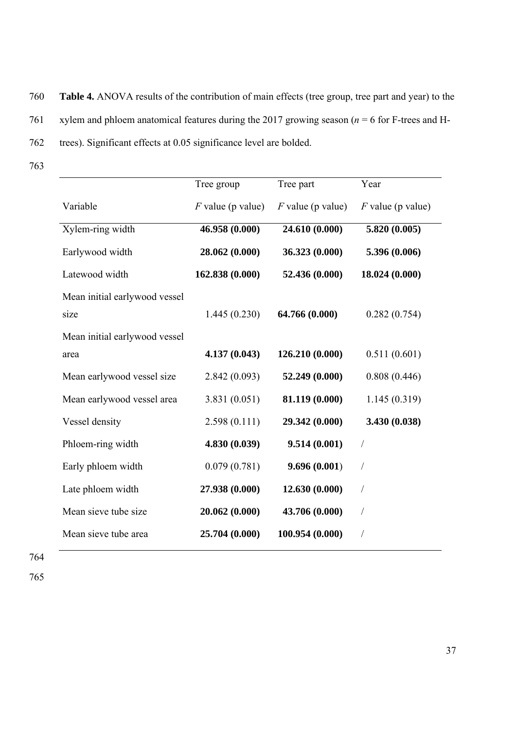760 **Table 4.** ANOVA results of the contribution of main effects (tree group, tree part and year) to the

761 xylem and phloem anatomical features during the 2017 growing season (*n* = 6 for F-trees and H-

762 trees). Significant effects at 0.05 significance level are bolded.

763

|                               | Tree group          | Tree part           | Year                |
|-------------------------------|---------------------|---------------------|---------------------|
| Variable                      | $F$ value (p value) | $F$ value (p value) | $F$ value (p value) |
| Xylem-ring width              | 46.958 (0.000)      | 24.610 (0.000)      | 5.820 (0.005)       |
| Earlywood width               | 28.062 (0.000)      | 36.323 (0.000)      | 5.396 (0.006)       |
| Latewood width                | 162.838 (0.000)     | 52.436 (0.000)      | 18.024 (0.000)      |
| Mean initial earlywood vessel |                     |                     |                     |
| size                          | 1.445(0.230)        | 64.766 (0.000)      | 0.282(0.754)        |
| Mean initial earlywood vessel |                     |                     |                     |
| area                          | 4.137(0.043)        | 126.210 (0.000)     | 0.511(0.601)        |
| Mean earlywood vessel size    | 2.842(0.093)        | 52.249 (0.000)      | 0.808(0.446)        |
| Mean earlywood vessel area    | 3.831(0.051)        | 81.119 (0.000)      | 1.145(0.319)        |
| Vessel density                | 2.598(0.111)        | 29.342 (0.000)      | 3.430 (0.038)       |
| Phloem-ring width             | 4.830 (0.039)       | 9.514(0.001)        | $\sqrt{2}$          |
| Early phloem width            | 0.079(0.781)        | 9.696(0.001)        | /                   |
| Late phloem width             | 27.938 (0.000)      | 12.630 (0.000)      | T                   |
| Mean sieve tube size          | 20.062 (0.000)      | 43.706 (0.000)      | Т                   |
| Mean sieve tube area          | 25.704 (0.000)      | 100.954 (0.000)     |                     |

764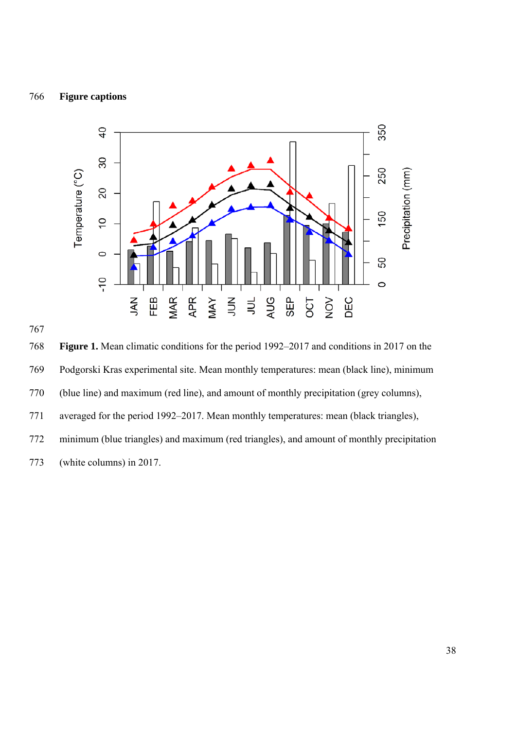### 766 **Figure captions**





768 **Figure 1.** Mean climatic conditions for the period 1992–2017 and conditions in 2017 on the 769 Podgorski Kras experimental site. Mean monthly temperatures: mean (black line), minimum 770 (blue line) and maximum (red line), and amount of monthly precipitation (grey columns), 771 averaged for the period 1992–2017. Mean monthly temperatures: mean (black triangles), 772 minimum (blue triangles) and maximum (red triangles), and amount of monthly precipitation 773 (white columns) in 2017.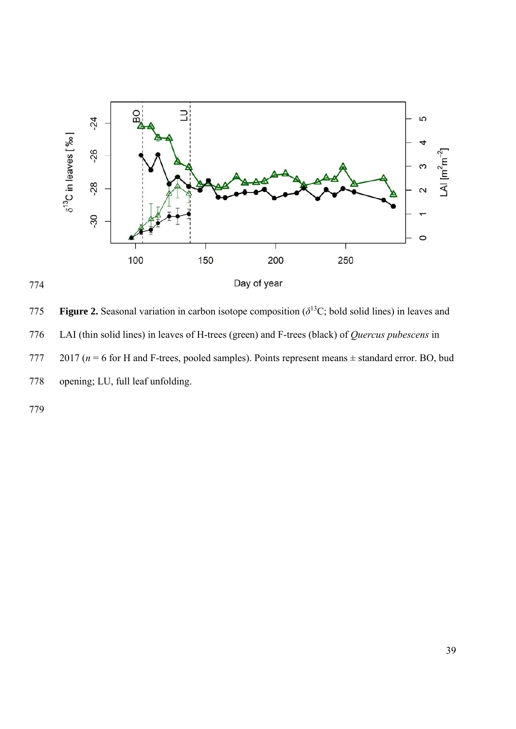

**Figure 2.** Seasonal variation in carbon isotope composition ( $\delta$ <sup>13</sup>C; bold solid lines) in leaves and 776 LAI (thin solid lines) in leaves of H-trees (green) and F-trees (black) of *Quercus pubescens* in 777 2017 ( $n = 6$  for H and F-trees, pooled samples). Points represent means  $\pm$  standard error. BO, bud 778 opening; LU, full leaf unfolding.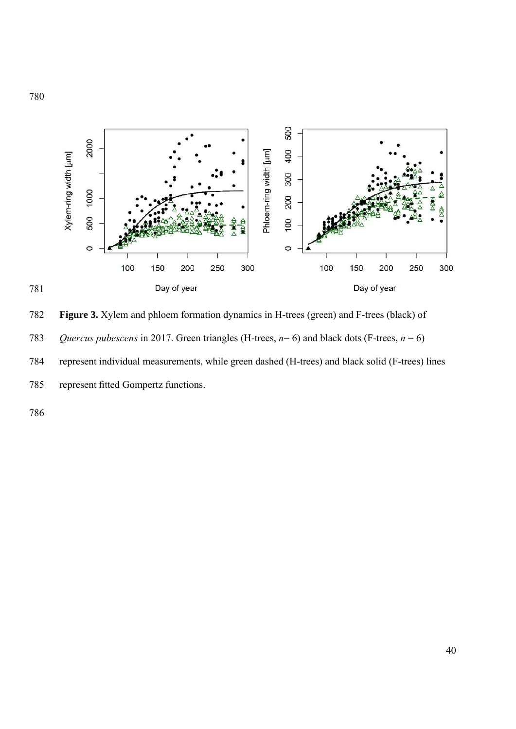

**Figure 3.** Xylem and phloem formation dynamics in H-trees (green) and F-trees (black) of *Quercus pubescens* in 2017. Green triangles (H-trees, *n*= 6) and black dots (F-trees, *n* = 6) 784 represent individual measurements, while green dashed (H-trees) and black solid (F-trees) lines 785 represent fitted Gompertz functions.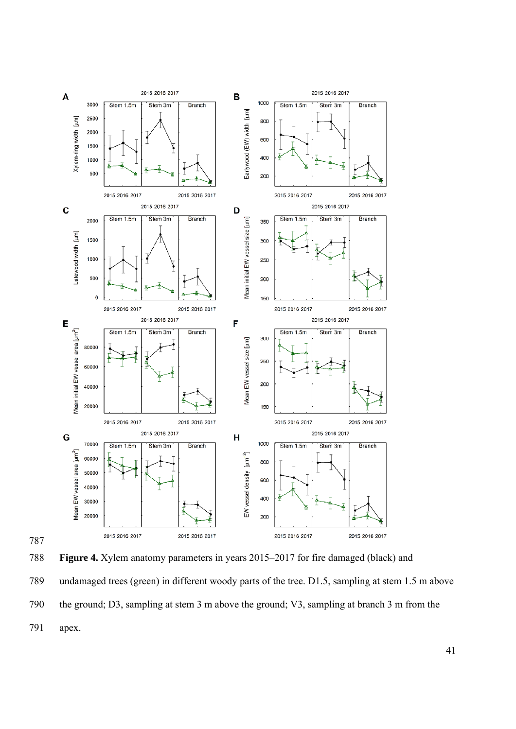



788 **Figure 4.** Xylem anatomy parameters in years 2015–2017 for fire damaged (black) and 789 undamaged trees (green) in different woody parts of the tree. D1.5, sampling at stem 1.5 m above 790 the ground; D3, sampling at stem 3 m above the ground; V3, sampling at branch 3 m from the 791 apex.